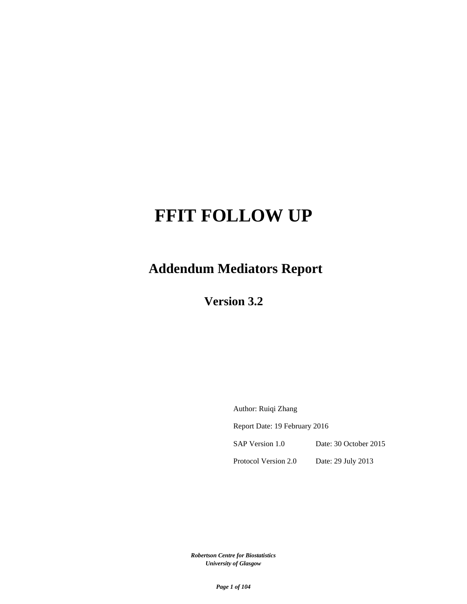# **FFIT FOLLOW UP**

**Addendum Mediators Report** 

**Version 3.2**

Author: Ruiqi Zhang Report Date: 19 February 2016 SAP Version 1.0 Date: 30 October 2015 Protocol Version 2.0 Date: 29 July 2013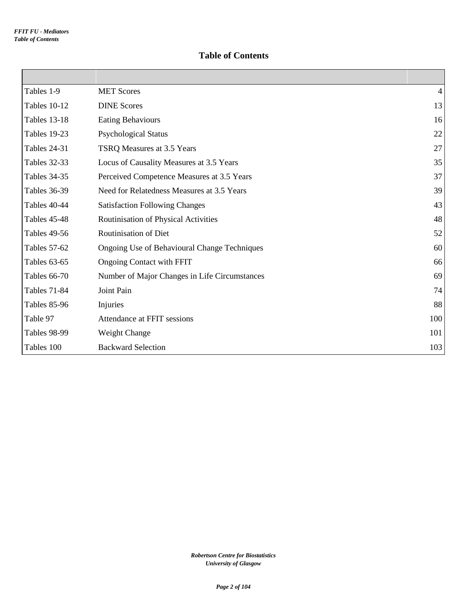#### **Table of Contents**

| Tables 1-9          | <b>MET Scores</b>                             | 4   |
|---------------------|-----------------------------------------------|-----|
| Tables 10-12        | <b>DINE Scores</b>                            | 13  |
| <b>Tables 13-18</b> | <b>Eating Behaviours</b>                      | 16  |
| Tables 19-23        | <b>Psychological Status</b>                   | 22  |
| <b>Tables 24-31</b> | TSRQ Measures at 3.5 Years                    | 27  |
| <b>Tables 32-33</b> | Locus of Causality Measures at 3.5 Years      | 35  |
| <b>Tables 34-35</b> | Perceived Competence Measures at 3.5 Years    | 37  |
| <b>Tables 36-39</b> | Need for Relatedness Measures at 3.5 Years    | 39  |
| Tables 40-44        | <b>Satisfaction Following Changes</b>         | 43  |
| Tables 45-48        | Routinisation of Physical Activities          | 48  |
| Tables 49-56        | <b>Routinisation of Diet</b>                  | 52  |
| Tables 57-62        | Ongoing Use of Behavioural Change Techniques  | 60  |
| Tables 63-65        | <b>Ongoing Contact with FFIT</b>              | 66  |
| <b>Tables 66-70</b> | Number of Major Changes in Life Circumstances | 69  |
| <b>Tables 71-84</b> | Joint Pain                                    | 74  |
| Tables 85-96        | Injuries                                      | 88  |
| Table 97            | Attendance at FFIT sessions                   | 100 |
| Tables 98-99        | Weight Change                                 | 101 |
| Tables 100          | <b>Backward Selection</b>                     | 103 |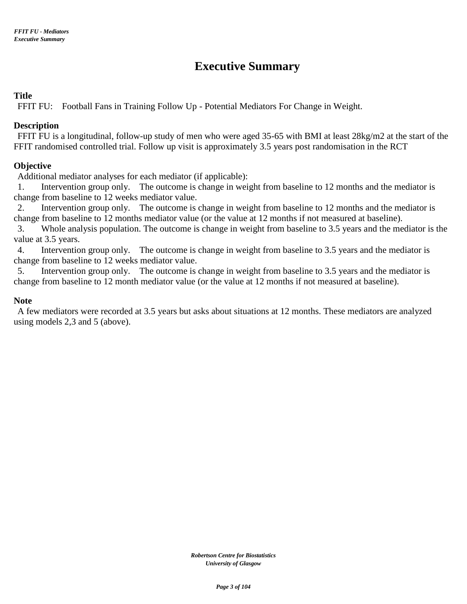## **Executive Summary**

#### **Title**

FFIT FU: Football Fans in Training Follow Up - Potential Mediators For Change in Weight.

#### **Description**

FFIT FU is a longitudinal, follow-up study of men who were aged 35-65 with BMI at least 28kg/m2 at the start of the FFIT randomised controlled trial. Follow up visit is approximately 3.5 years post randomisation in the RCT

#### **Objective**

Additional mediator analyses for each mediator (if applicable):

1. Intervention group only. The outcome is change in weight from baseline to 12 months and the mediator is change from baseline to 12 weeks mediator value.

2. Intervention group only. The outcome is change in weight from baseline to 12 months and the mediator is change from baseline to 12 months mediator value (or the value at 12 months if not measured at baseline).

3. Whole analysis population. The outcome is change in weight from baseline to 3.5 years and the mediator is the value at 3.5 years.

4. Intervention group only. The outcome is change in weight from baseline to 3.5 years and the mediator is change from baseline to 12 weeks mediator value.

5. Intervention group only. The outcome is change in weight from baseline to 3.5 years and the mediator is change from baseline to 12 month mediator value (or the value at 12 months if not measured at baseline).

#### **Note**

A few mediators were recorded at 3.5 years but asks about situations at 12 months. These mediators are analyzed using models 2,3 and 5 (above).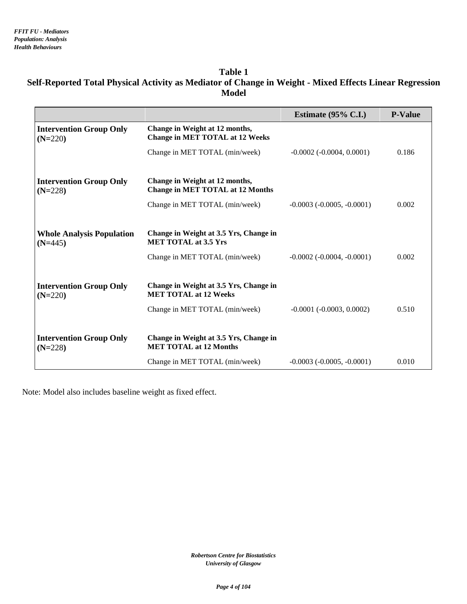#### **Table 1 Self-Reported Total Physical Activity as Mediator of Change in Weight - Mixed Effects Linear Regression Model**

|                                               |                                                                           | Estimate $(95\% \text{ C.I.})$      | <b>P-Value</b> |
|-----------------------------------------------|---------------------------------------------------------------------------|-------------------------------------|----------------|
| <b>Intervention Group Only</b><br>$(N=220)$   | Change in Weight at 12 months,<br><b>Change in MET TOTAL at 12 Weeks</b>  |                                     |                |
|                                               | Change in MET TOTAL (min/week)                                            | $-0.0002$ $(-0.0004, 0.0001)$       | 0.186          |
| <b>Intervention Group Only</b><br>$(N=228)$   | Change in Weight at 12 months,<br><b>Change in MET TOTAL at 12 Months</b> |                                     |                |
|                                               | Change in MET TOTAL (min/week)                                            | $-0.0003$ $(-0.0005, -0.0001)$      | 0.002          |
| <b>Whole Analysis Population</b><br>$(N=445)$ | Change in Weight at 3.5 Yrs, Change in<br><b>MET TOTAL at 3.5 Yrs</b>     |                                     |                |
|                                               | Change in MET TOTAL (min/week)                                            | $-0.0002$ ( $-0.0004$ , $-0.0001$ ) | 0.002          |
| <b>Intervention Group Only</b><br>$(N=220)$   | Change in Weight at 3.5 Yrs, Change in<br><b>MET TOTAL at 12 Weeks</b>    |                                     |                |
|                                               | Change in MET TOTAL (min/week)                                            | $-0.0001$ ( $-0.0003$ , $0.0002$ )  | 0.510          |
| <b>Intervention Group Only</b><br>$(N=228)$   | Change in Weight at 3.5 Yrs, Change in<br><b>MET TOTAL at 12 Months</b>   |                                     |                |
|                                               | Change in MET TOTAL (min/week)                                            | $-0.0003$ ( $-0.0005$ , $-0.0001$ ) | 0.010          |

Note: Model also includes baseline weight as fixed effect.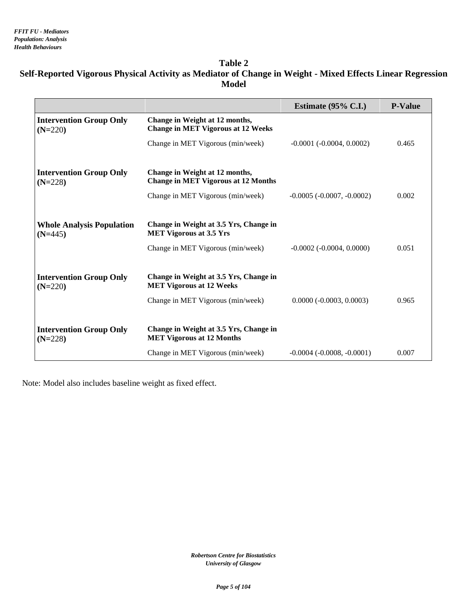#### **Table 2 Self-Reported Vigorous Physical Activity as Mediator of Change in Weight - Mixed Effects Linear Regression Model**

|                                               |                                                                              | Estimate $(95\% \text{ C.L.})$      | <b>P-Value</b> |
|-----------------------------------------------|------------------------------------------------------------------------------|-------------------------------------|----------------|
| <b>Intervention Group Only</b><br>$(N=220)$   | Change in Weight at 12 months,<br><b>Change in MET Vigorous at 12 Weeks</b>  |                                     |                |
|                                               | Change in MET Vigorous (min/week)                                            | $-0.0001$ $(-0.0004, 0.0002)$       | 0.465          |
| <b>Intervention Group Only</b><br>$(N=228)$   | Change in Weight at 12 months,<br><b>Change in MET Vigorous at 12 Months</b> |                                     |                |
|                                               | Change in MET Vigorous (min/week)                                            | $-0.0005$ ( $-0.0007$ , $-0.0002$ ) | 0.002          |
|                                               |                                                                              |                                     |                |
| <b>Whole Analysis Population</b><br>$(N=445)$ | Change in Weight at 3.5 Yrs, Change in<br><b>MET Vigorous at 3.5 Yrs</b>     |                                     |                |
|                                               | Change in MET Vigorous (min/week)                                            | $-0.0002$ ( $-0.0004$ , $0.0000$ )  | 0.051          |
|                                               |                                                                              |                                     |                |
| <b>Intervention Group Only</b><br>$(N=220)$   | Change in Weight at 3.5 Yrs, Change in<br><b>MET Vigorous at 12 Weeks</b>    |                                     |                |
|                                               | Change in MET Vigorous (min/week)                                            | $0.0000 (-0.0003, 0.0003)$          | 0.965          |
|                                               |                                                                              |                                     |                |
| <b>Intervention Group Only</b><br>$(N=228)$   | Change in Weight at 3.5 Yrs, Change in<br><b>MET Vigorous at 12 Months</b>   |                                     |                |
|                                               | Change in MET Vigorous (min/week)                                            | $-0.0004$ $(-0.0008, -0.0001)$      | 0.007          |

Note: Model also includes baseline weight as fixed effect.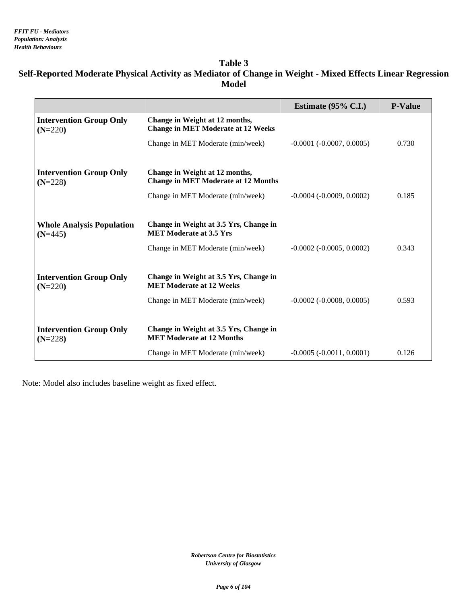#### **Table 3 Self-Reported Moderate Physical Activity as Mediator of Change in Weight - Mixed Effects Linear Regression Model**

|                                               |                                                                              | Estimate $(95\% \text{ C.I.})$     | <b>P-Value</b> |
|-----------------------------------------------|------------------------------------------------------------------------------|------------------------------------|----------------|
| <b>Intervention Group Only</b><br>$(N=220)$   | Change in Weight at 12 months,<br><b>Change in MET Moderate at 12 Weeks</b>  |                                    |                |
|                                               | Change in MET Moderate (min/week)                                            | $-0.0001$ $(-0.0007, 0.0005)$      | 0.730          |
| <b>Intervention Group Only</b><br>$(N=228)$   | Change in Weight at 12 months,<br><b>Change in MET Moderate at 12 Months</b> |                                    |                |
|                                               | Change in MET Moderate (min/week)                                            | $-0.0004$ ( $-0.0009$ , $0.0002$ ) | 0.185          |
|                                               |                                                                              |                                    |                |
| <b>Whole Analysis Population</b><br>$(N=445)$ | Change in Weight at 3.5 Yrs, Change in<br><b>MET Moderate at 3.5 Yrs</b>     |                                    |                |
|                                               | Change in MET Moderate (min/week)                                            | $-0.0002$ ( $-0.0005$ , $0.0002$ ) | 0.343          |
|                                               |                                                                              |                                    |                |
| <b>Intervention Group Only</b><br>$(N=220)$   | Change in Weight at 3.5 Yrs, Change in<br><b>MET Moderate at 12 Weeks</b>    |                                    |                |
|                                               | Change in MET Moderate (min/week)                                            | $-0.0002$ ( $-0.0008$ , $0.0005$ ) | 0.593          |
|                                               |                                                                              |                                    |                |
| <b>Intervention Group Only</b><br>$(N=228)$   | Change in Weight at 3.5 Yrs, Change in<br><b>MET Moderate at 12 Months</b>   |                                    |                |
|                                               | Change in MET Moderate (min/week)                                            | $-0.0005 (-0.0011, 0.0001)$        | 0.126          |

Note: Model also includes baseline weight as fixed effect.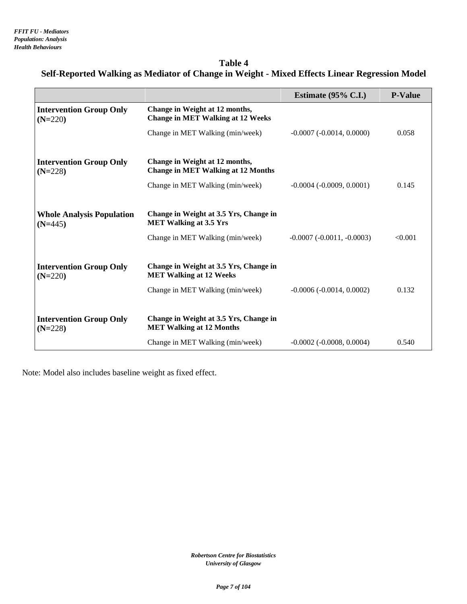**Table 4 Self-Reported Walking as Mediator of Change in Weight - Mixed Effects Linear Regression Model**

|                                               |                                                                             | Estimate $(95\% \text{ C.I.})$     | <b>P-Value</b> |
|-----------------------------------------------|-----------------------------------------------------------------------------|------------------------------------|----------------|
| <b>Intervention Group Only</b><br>$(N=220)$   | Change in Weight at 12 months,<br><b>Change in MET Walking at 12 Weeks</b>  |                                    |                |
|                                               | Change in MET Walking (min/week)                                            | $-0.0007$ $(-0.0014, 0.0000)$      | 0.058          |
| <b>Intervention Group Only</b><br>$(N=228)$   | Change in Weight at 12 months,<br><b>Change in MET Walking at 12 Months</b> |                                    |                |
|                                               | Change in MET Walking (min/week)                                            | $-0.0004$ ( $-0.0009$ , $0.0001$ ) | 0.145          |
|                                               |                                                                             |                                    |                |
| <b>Whole Analysis Population</b><br>$(N=445)$ | Change in Weight at 3.5 Yrs, Change in<br><b>MET Walking at 3.5 Yrs</b>     |                                    |                |
|                                               | Change in MET Walking (min/week)                                            | $-0.0007(-0.0011,-0.0003)$         | < 0.001        |
|                                               |                                                                             |                                    |                |
| <b>Intervention Group Only</b><br>$(N=220)$   | Change in Weight at 3.5 Yrs, Change in<br><b>MET Walking at 12 Weeks</b>    |                                    |                |
|                                               | Change in MET Walking (min/week)                                            | $-0.0006(-0.0014, 0.0002)$         | 0.132          |
|                                               |                                                                             |                                    |                |
| <b>Intervention Group Only</b><br>$(N=228)$   | Change in Weight at 3.5 Yrs, Change in<br><b>MET Walking at 12 Months</b>   |                                    |                |
|                                               | Change in MET Walking (min/week)                                            | $-0.0002$ ( $-0.0008$ , $0.0004$ ) | 0.540          |

Note: Model also includes baseline weight as fixed effect.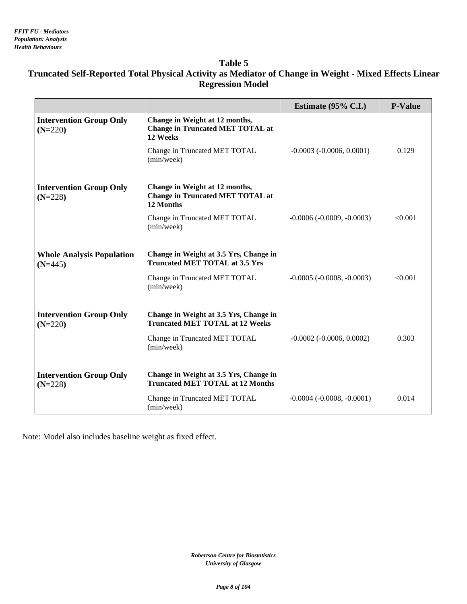#### **Table 5**

## **Truncated Self-Reported Total Physical Activity as Mediator of Change in Weight - Mixed Effects Linear Regression Model**

|                                               |                                                                                        | Estimate $(95\% \text{ C.I.})$      | <b>P-Value</b> |
|-----------------------------------------------|----------------------------------------------------------------------------------------|-------------------------------------|----------------|
| <b>Intervention Group Only</b><br>$(N=220)$   | Change in Weight at 12 months,<br><b>Change in Truncated MET TOTAL at</b><br>12 Weeks  |                                     |                |
|                                               | Change in Truncated MET TOTAL<br>(min/week)                                            | $-0.0003$ $(-0.0006, 0.0001)$       | 0.129          |
| <b>Intervention Group Only</b><br>$(N=228)$   | Change in Weight at 12 months,<br><b>Change in Truncated MET TOTAL at</b><br>12 Months |                                     |                |
|                                               | Change in Truncated MET TOTAL<br>(min/week)                                            | $-0.0006 (-0.0009, -0.0003)$        | < 0.001        |
| <b>Whole Analysis Population</b><br>$(N=445)$ | Change in Weight at 3.5 Yrs, Change in<br><b>Truncated MET TOTAL at 3.5 Yrs</b>        |                                     |                |
|                                               | Change in Truncated MET TOTAL<br>(min/week)                                            | $-0.0005$ ( $-0.0008$ , $-0.0003$ ) | < 0.001        |
| <b>Intervention Group Only</b><br>$(N=220)$   | Change in Weight at 3.5 Yrs, Change in<br><b>Truncated MET TOTAL at 12 Weeks</b>       |                                     |                |
|                                               | Change in Truncated MET TOTAL<br>(min/week)                                            | $-0.0002$ $(-0.0006, 0.0002)$       | 0.303          |
| <b>Intervention Group Only</b><br>$(N=228)$   | Change in Weight at 3.5 Yrs, Change in<br><b>Truncated MET TOTAL at 12 Months</b>      |                                     |                |
|                                               | Change in Truncated MET TOTAL<br>(min/week)                                            | $-0.0004$ $(-0.0008, -0.0001)$      | 0.014          |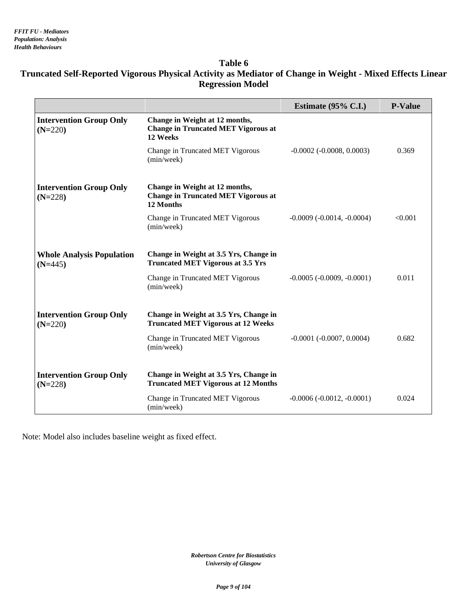#### **Table 6**

## **Truncated Self-Reported Vigorous Physical Activity as Mediator of Change in Weight - Mixed Effects Linear Regression Model**

|                                               |                                                                                           | Estimate $(95\% \text{ C.I.})$      | <b>P-Value</b> |
|-----------------------------------------------|-------------------------------------------------------------------------------------------|-------------------------------------|----------------|
| <b>Intervention Group Only</b><br>$(N=220)$   | Change in Weight at 12 months,<br><b>Change in Truncated MET Vigorous at</b><br>12 Weeks  |                                     |                |
|                                               | Change in Truncated MET Vigorous<br>(min/week)                                            | $-0.0002$ ( $-0.0008$ , $0.0003$ )  | 0.369          |
| <b>Intervention Group Only</b><br>$(N=228)$   | Change in Weight at 12 months,<br><b>Change in Truncated MET Vigorous at</b><br>12 Months |                                     |                |
|                                               | Change in Truncated MET Vigorous<br>(min/week)                                            | $-0.0009$ ( $-0.0014$ , $-0.0004$ ) | < 0.001        |
| <b>Whole Analysis Population</b><br>$(N=445)$ | Change in Weight at 3.5 Yrs, Change in<br><b>Truncated MET Vigorous at 3.5 Yrs</b>        |                                     |                |
|                                               | Change in Truncated MET Vigorous<br>(min/week)                                            | $-0.0005$ ( $-0.0009$ , $-0.0001$ ) | 0.011          |
| <b>Intervention Group Only</b><br>$(N=220)$   | Change in Weight at 3.5 Yrs, Change in<br><b>Truncated MET Vigorous at 12 Weeks</b>       |                                     |                |
|                                               | Change in Truncated MET Vigorous<br>(min/week)                                            | $-0.0001$ ( $-0.0007$ , $0.0004$ )  | 0.682          |
| <b>Intervention Group Only</b><br>$(N=228)$   | Change in Weight at 3.5 Yrs, Change in<br><b>Truncated MET Vigorous at 12 Months</b>      |                                     |                |
|                                               | Change in Truncated MET Vigorous<br>(min/week)                                            | $-0.0006 (-0.0012, -0.0001)$        | 0.024          |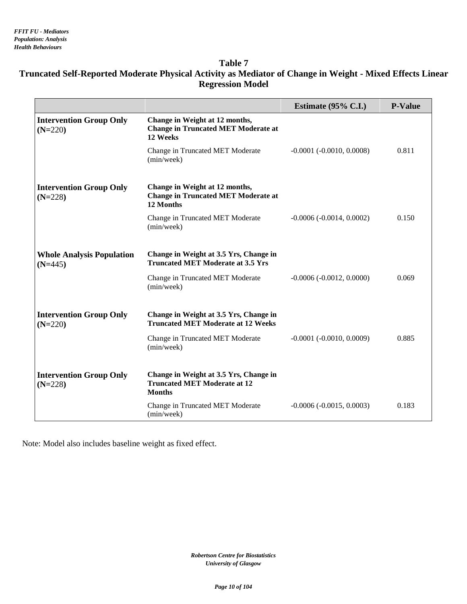#### **Table 7**

## **Truncated Self-Reported Moderate Physical Activity as Mediator of Change in Weight - Mixed Effects Linear Regression Model**

|                                               |                                                                                                | Estimate $(95\% \text{ C.L.})$ | <b>P-Value</b> |
|-----------------------------------------------|------------------------------------------------------------------------------------------------|--------------------------------|----------------|
| <b>Intervention Group Only</b><br>$(N=220)$   | Change in Weight at 12 months,<br><b>Change in Truncated MET Moderate at</b><br>12 Weeks       |                                |                |
|                                               | Change in Truncated MET Moderate<br>(min/week)                                                 | $-0.0001$ $(-0.0010, 0.0008)$  | 0.811          |
| <b>Intervention Group Only</b><br>$(N=228)$   | Change in Weight at 12 months,<br><b>Change in Truncated MET Moderate at</b><br>12 Months      |                                |                |
|                                               | Change in Truncated MET Moderate<br>(min/week)                                                 | $-0.0006(-0.0014, 0.0002)$     | 0.150          |
| <b>Whole Analysis Population</b><br>$(N=445)$ | Change in Weight at 3.5 Yrs, Change in<br><b>Truncated MET Moderate at 3.5 Yrs</b>             |                                |                |
|                                               | Change in Truncated MET Moderate<br>(min/week)                                                 | $-0.0006(-0.0012, 0.0000)$     | 0.069          |
| <b>Intervention Group Only</b><br>$(N=220)$   | Change in Weight at 3.5 Yrs, Change in<br><b>Truncated MET Moderate at 12 Weeks</b>            |                                |                |
|                                               | Change in Truncated MET Moderate<br>(min/week)                                                 | $-0.0001$ $(-0.0010, 0.0009)$  | 0.885          |
| <b>Intervention Group Only</b><br>$(N=228)$   | Change in Weight at 3.5 Yrs, Change in<br><b>Truncated MET Moderate at 12</b><br><b>Months</b> |                                |                |
|                                               | Change in Truncated MET Moderate<br>(min/week)                                                 | $-0.0006(-0.0015, 0.0003)$     | 0.183          |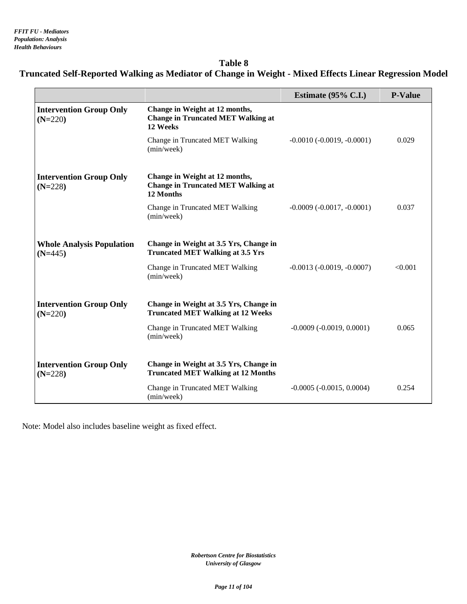## **Table 8 Truncated Self-Reported Walking as Mediator of Change in Weight - Mixed Effects Linear Regression Model**

|                                               |                                                                                          | Estimate $(95\% \text{ C.I.})$     | <b>P-Value</b> |
|-----------------------------------------------|------------------------------------------------------------------------------------------|------------------------------------|----------------|
| <b>Intervention Group Only</b><br>$(N=220)$   | Change in Weight at 12 months,<br><b>Change in Truncated MET Walking at</b><br>12 Weeks  |                                    |                |
|                                               | Change in Truncated MET Walking<br>(min/week)                                            | $-0.0010(-0.0019,-0.0001)$         | 0.029          |
| <b>Intervention Group Only</b><br>$(N=228)$   | Change in Weight at 12 months,<br><b>Change in Truncated MET Walking at</b><br>12 Months |                                    |                |
|                                               | Change in Truncated MET Walking<br>(min/week)                                            | $-0.0009(-0.0017,-0.0001)$         | 0.037          |
| <b>Whole Analysis Population</b><br>$(N=445)$ | Change in Weight at 3.5 Yrs, Change in<br><b>Truncated MET Walking at 3.5 Yrs</b>        |                                    |                |
|                                               | Change in Truncated MET Walking<br>(min/week)                                            | $-0.0013$ $(-0.0019, -0.0007)$     | < 0.001        |
| <b>Intervention Group Only</b><br>$(N=220)$   | Change in Weight at 3.5 Yrs, Change in<br><b>Truncated MET Walking at 12 Weeks</b>       |                                    |                |
|                                               | Change in Truncated MET Walking<br>(min/week)                                            | $-0.0009$ $(-0.0019, 0.0001)$      | 0.065          |
| <b>Intervention Group Only</b><br>$(N=228)$   | Change in Weight at 3.5 Yrs, Change in<br><b>Truncated MET Walking at 12 Months</b>      |                                    |                |
|                                               | Change in Truncated MET Walking<br>(min/week)                                            | $-0.0005$ ( $-0.0015$ , $0.0004$ ) | 0.254          |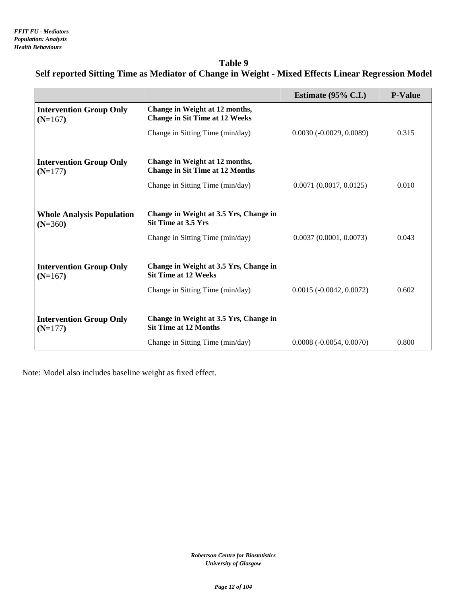## **Table 9 Self reported Sitting Time as Mediator of Change in Weight - Mixed Effects Linear Regression Model**

|                                               |                                                                          | Estimate $(95\% \text{ C.I.})$ | <b>P-Value</b> |
|-----------------------------------------------|--------------------------------------------------------------------------|--------------------------------|----------------|
| <b>Intervention Group Only</b><br>$(N=167)$   | Change in Weight at 12 months,<br><b>Change in Sit Time at 12 Weeks</b>  |                                |                |
|                                               | Change in Sitting Time (min/day)                                         | $0.0030(-0.0029, 0.0089)$      | 0.315          |
| <b>Intervention Group Only</b><br>$(N=177)$   | Change in Weight at 12 months,<br><b>Change in Sit Time at 12 Months</b> |                                |                |
|                                               | Change in Sitting Time (min/day)                                         | 0.0071(0.0017, 0.0125)         | 0.010          |
|                                               |                                                                          |                                |                |
| <b>Whole Analysis Population</b><br>$(N=360)$ | Change in Weight at 3.5 Yrs, Change in<br><b>Sit Time at 3.5 Yrs</b>     |                                |                |
|                                               | Change in Sitting Time (min/day)                                         | 0.0037(0.0001, 0.0073)         | 0.043          |
|                                               |                                                                          |                                |                |
| <b>Intervention Group Only</b><br>$(N=167)$   | Change in Weight at 3.5 Yrs, Change in<br><b>Sit Time at 12 Weeks</b>    |                                |                |
|                                               | Change in Sitting Time (min/day)                                         | $0.0015 (-0.0042, 0.0072)$     | 0.602          |
|                                               |                                                                          |                                |                |
| <b>Intervention Group Only</b><br>$(N=177)$   | Change in Weight at 3.5 Yrs, Change in<br><b>Sit Time at 12 Months</b>   |                                |                |
|                                               | Change in Sitting Time (min/day)                                         | $0.0008(-0.0054, 0.0070)$      | 0.800          |

Note: Model also includes baseline weight as fixed effect.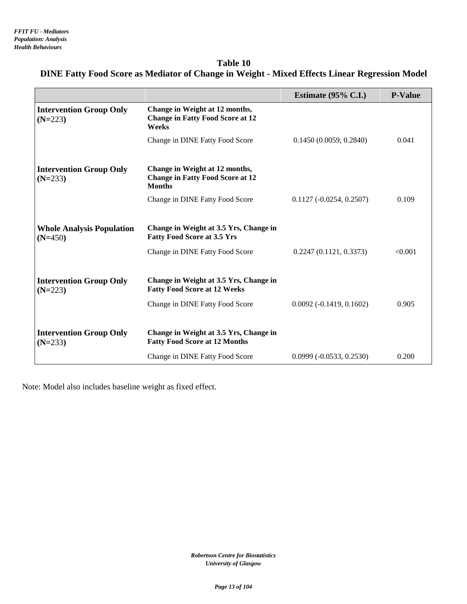## **Table 10 DINE Fatty Food Score as Mediator of Change in Weight - Mixed Effects Linear Regression Model**

|                                               |                                                                                            | Estimate $(95\% \text{ C.I.})$ | <b>P-Value</b> |
|-----------------------------------------------|--------------------------------------------------------------------------------------------|--------------------------------|----------------|
| <b>Intervention Group Only</b><br>$(N=223)$   | Change in Weight at 12 months,<br><b>Change in Fatty Food Score at 12</b><br>Weeks         |                                |                |
|                                               | Change in DINE Fatty Food Score                                                            | 0.1450(0.0059, 0.2840)         | 0.041          |
|                                               |                                                                                            |                                |                |
| <b>Intervention Group Only</b><br>$(N=233)$   | Change in Weight at 12 months,<br><b>Change in Fatty Food Score at 12</b><br><b>Months</b> |                                |                |
|                                               | Change in DINE Fatty Food Score                                                            | $0.1127(-0.0254, 0.2507)$      | 0.109          |
|                                               |                                                                                            |                                |                |
| <b>Whole Analysis Population</b><br>$(N=450)$ | Change in Weight at 3.5 Yrs, Change in<br><b>Fatty Food Score at 3.5 Yrs</b>               |                                |                |
|                                               | Change in DINE Fatty Food Score                                                            | 0.2247(0.1121, 0.3373)         | < 0.001        |
|                                               |                                                                                            |                                |                |
| <b>Intervention Group Only</b><br>$(N=223)$   | Change in Weight at 3.5 Yrs, Change in<br><b>Fatty Food Score at 12 Weeks</b>              |                                |                |
|                                               | Change in DINE Fatty Food Score                                                            | $0.0092(-0.1419, 0.1602)$      | 0.905          |
|                                               |                                                                                            |                                |                |
| <b>Intervention Group Only</b><br>$(N=233)$   | Change in Weight at 3.5 Yrs, Change in<br><b>Fatty Food Score at 12 Months</b>             |                                |                |
|                                               | Change in DINE Fatty Food Score                                                            | $0.0999 (-0.0533, 0.2530)$     | 0.200          |

Note: Model also includes baseline weight as fixed effect.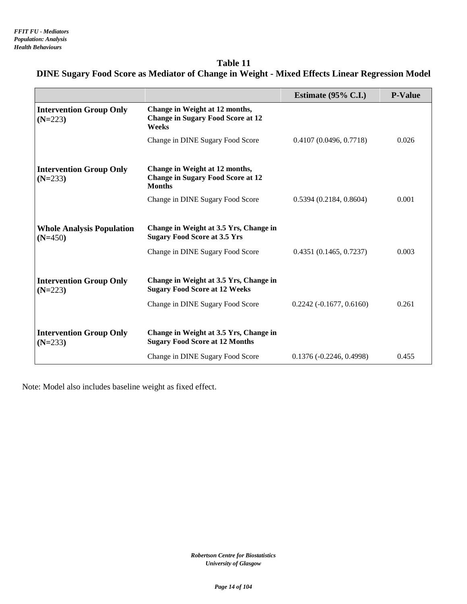| Table 11                                                                                       |
|------------------------------------------------------------------------------------------------|
| DINE Sugary Food Score as Mediator of Change in Weight - Mixed Effects Linear Regression Model |

|                                               |                                                                                             | Estimate $(95\% \text{ C.I.})$ | <b>P-Value</b> |
|-----------------------------------------------|---------------------------------------------------------------------------------------------|--------------------------------|----------------|
| <b>Intervention Group Only</b><br>$(N=223)$   | Change in Weight at 12 months,<br><b>Change in Sugary Food Score at 12</b><br>Weeks         |                                |                |
|                                               | Change in DINE Sugary Food Score                                                            | 0.4107(0.0496, 0.7718)         | 0.026          |
|                                               |                                                                                             |                                |                |
| <b>Intervention Group Only</b><br>$(N=233)$   | Change in Weight at 12 months,<br><b>Change in Sugary Food Score at 12</b><br><b>Months</b> |                                |                |
|                                               | Change in DINE Sugary Food Score                                                            | 0.5394(0.2184, 0.8604)         | 0.001          |
|                                               |                                                                                             |                                |                |
| <b>Whole Analysis Population</b><br>$(N=450)$ | Change in Weight at 3.5 Yrs, Change in<br><b>Sugary Food Score at 3.5 Yrs</b>               |                                |                |
|                                               | Change in DINE Sugary Food Score                                                            | 0.4351(0.1465, 0.7237)         | 0.003          |
|                                               |                                                                                             |                                |                |
| <b>Intervention Group Only</b><br>$(N=223)$   | Change in Weight at 3.5 Yrs, Change in<br><b>Sugary Food Score at 12 Weeks</b>              |                                |                |
|                                               | Change in DINE Sugary Food Score                                                            | $0.2242$ (-0.1677, 0.6160)     | 0.261          |
|                                               |                                                                                             |                                |                |
| <b>Intervention Group Only</b><br>$(N=233)$   | Change in Weight at 3.5 Yrs, Change in<br><b>Sugary Food Score at 12 Months</b>             |                                |                |
|                                               | Change in DINE Sugary Food Score                                                            | $0.1376 (-0.2246, 0.4998)$     | 0.455          |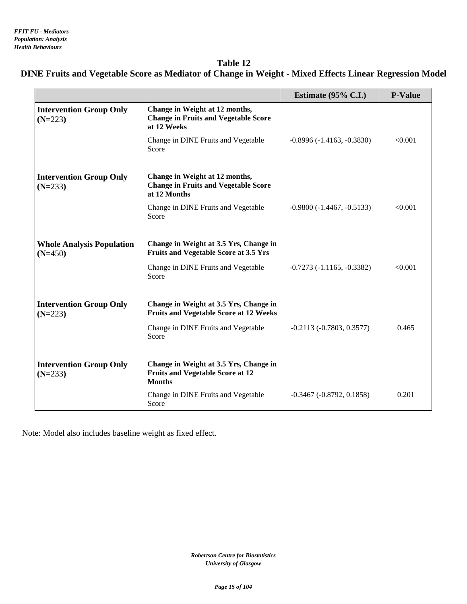## **Table 12 DINE Fruits and Vegetable Score as Mediator of Change in Weight - Mixed Effects Linear Regression Model**

|                                               |                                                                                                    | Estimate $(95\% \text{ C.I.})$     | <b>P-Value</b> |
|-----------------------------------------------|----------------------------------------------------------------------------------------------------|------------------------------------|----------------|
| <b>Intervention Group Only</b><br>$(N=223)$   | Change in Weight at 12 months,<br><b>Change in Fruits and Vegetable Score</b><br>at 12 Weeks       |                                    |                |
|                                               | Change in DINE Fruits and Vegetable<br>Score                                                       | $-0.8996 (-1.4163, -0.3830)$       | < 0.001        |
| <b>Intervention Group Only</b><br>$(N=233)$   | Change in Weight at 12 months,<br><b>Change in Fruits and Vegetable Score</b><br>at 12 Months      |                                    |                |
|                                               | Change in DINE Fruits and Vegetable<br>Score                                                       | $-0.9800(-1.4467, -0.5133)$        | < 0.001        |
| <b>Whole Analysis Population</b><br>$(N=450)$ | Change in Weight at 3.5 Yrs, Change in<br><b>Fruits and Vegetable Score at 3.5 Yrs</b>             |                                    |                |
|                                               | Change in DINE Fruits and Vegetable<br>Score                                                       | $-0.7273(-1.1165, -0.3382)$        | < 0.001        |
| <b>Intervention Group Only</b><br>$(N=223)$   | Change in Weight at 3.5 Yrs, Change in<br><b>Fruits and Vegetable Score at 12 Weeks</b>            |                                    |                |
|                                               | Change in DINE Fruits and Vegetable<br>Score                                                       | $-0.2113(-0.7803, 0.3577)$         | 0.465          |
| <b>Intervention Group Only</b><br>$(N=233)$   | Change in Weight at 3.5 Yrs, Change in<br><b>Fruits and Vegetable Score at 12</b><br><b>Months</b> |                                    |                |
|                                               | Change in DINE Fruits and Vegetable<br>Score                                                       | $-0.3467$ ( $-0.8792$ , $0.1858$ ) | 0.201          |

Note: Model also includes baseline weight as fixed effect.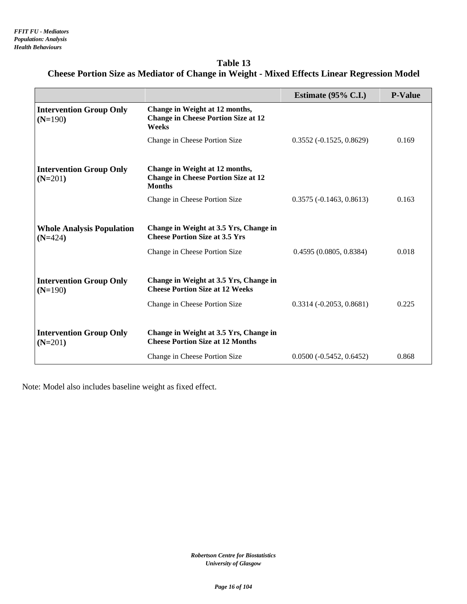| Table 13                                                                                           |
|----------------------------------------------------------------------------------------------------|
| <b>Cheese Portion Size as Mediator of Change in Weight - Mixed Effects Linear Regression Model</b> |

|                                               |                                                                                                                   | Estimate $(95\% \text{ C.I.})$ | <b>P-Value</b> |
|-----------------------------------------------|-------------------------------------------------------------------------------------------------------------------|--------------------------------|----------------|
| <b>Intervention Group Only</b><br>$(N=190)$   | Change in Weight at 12 months,<br><b>Change in Cheese Portion Size at 12</b><br>Weeks                             |                                |                |
|                                               | Change in Cheese Portion Size                                                                                     | $0.3552(-0.1525, 0.8629)$      | 0.169          |
| <b>Intervention Group Only</b><br>$(N=201)$   | Change in Weight at 12 months,<br><b>Change in Cheese Portion Size at 12</b><br><b>Months</b>                     |                                |                |
|                                               | Change in Cheese Portion Size                                                                                     | $0.3575(-0.1463, 0.8613)$      | 0.163          |
| <b>Whole Analysis Population</b><br>$(N=424)$ | Change in Weight at 3.5 Yrs, Change in<br><b>Cheese Portion Size at 3.5 Yrs</b>                                   |                                |                |
|                                               | Change in Cheese Portion Size                                                                                     | 0.4595(0.0805, 0.8384)         | 0.018          |
| <b>Intervention Group Only</b><br>$(N=190)$   | Change in Weight at 3.5 Yrs, Change in<br><b>Cheese Portion Size at 12 Weeks</b><br>Change in Cheese Portion Size | $0.3314 (-0.2053, 0.8681)$     | 0.225          |
| <b>Intervention Group Only</b><br>$(N=201)$   | Change in Weight at 3.5 Yrs, Change in<br><b>Cheese Portion Size at 12 Months</b>                                 |                                |                |
|                                               | Change in Cheese Portion Size                                                                                     | $0.0500(-0.5452, 0.6452)$      | 0.868          |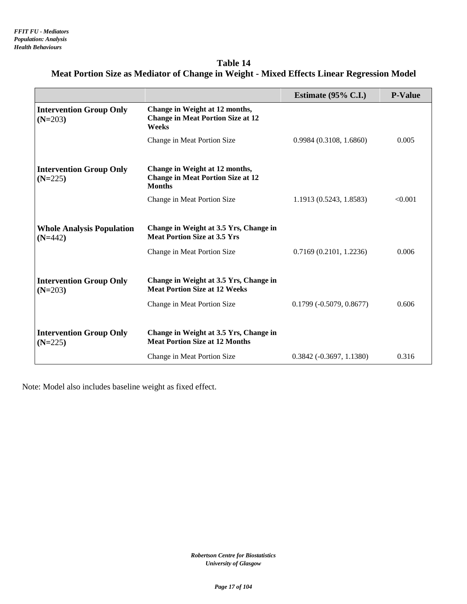| Table 14                                                                                  |
|-------------------------------------------------------------------------------------------|
| Meat Portion Size as Mediator of Change in Weight - Mixed Effects Linear Regression Model |

|                                               |                                                                                                               | Estimate $(95\% \text{ C.I.})$ | <b>P-Value</b> |
|-----------------------------------------------|---------------------------------------------------------------------------------------------------------------|--------------------------------|----------------|
| <b>Intervention Group Only</b><br>$(N=203)$   | Change in Weight at 12 months,<br><b>Change in Meat Portion Size at 12</b><br>Weeks                           |                                |                |
|                                               | Change in Meat Portion Size                                                                                   | 0.9984(0.3108, 1.6860)         | 0.005          |
| <b>Intervention Group Only</b><br>$(N=225)$   | Change in Weight at 12 months,<br><b>Change in Meat Portion Size at 12</b><br><b>Months</b>                   |                                |                |
|                                               | Change in Meat Portion Size                                                                                   | 1.1913 (0.5243, 1.8583)        | < 0.001        |
| <b>Whole Analysis Population</b><br>$(N=442)$ | Change in Weight at 3.5 Yrs, Change in<br><b>Meat Portion Size at 3.5 Yrs</b>                                 |                                |                |
|                                               | Change in Meat Portion Size                                                                                   | 0.7169(0.2101, 1.2236)         | 0.006          |
| <b>Intervention Group Only</b><br>$(N=203)$   | Change in Weight at 3.5 Yrs, Change in<br><b>Meat Portion Size at 12 Weeks</b><br>Change in Meat Portion Size | $0.1799 (-0.5079, 0.8677)$     | 0.606          |
| <b>Intervention Group Only</b><br>$(N=225)$   | Change in Weight at 3.5 Yrs, Change in<br><b>Meat Portion Size at 12 Months</b>                               |                                |                |
|                                               | Change in Meat Portion Size                                                                                   | $0.3842 (-0.3697, 1.1380)$     | 0.316          |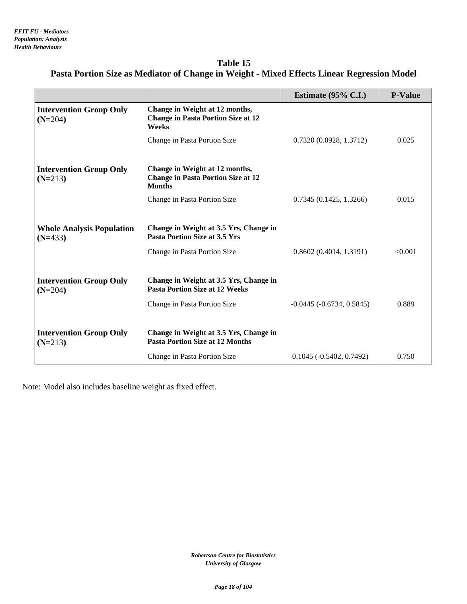| Table 15                                                                                   |
|--------------------------------------------------------------------------------------------|
| Pasta Portion Size as Mediator of Change in Weight - Mixed Effects Linear Regression Model |

|                                               |                                                                                              | Estimate $(95\% \text{ C.I.})$ | <b>P-Value</b> |
|-----------------------------------------------|----------------------------------------------------------------------------------------------|--------------------------------|----------------|
| <b>Intervention Group Only</b><br>$(N=204)$   | Change in Weight at 12 months,<br><b>Change in Pasta Portion Size at 12</b><br><b>Weeks</b>  |                                |                |
|                                               | Change in Pasta Portion Size                                                                 | 0.7320(0.0928, 1.3712)         | 0.025          |
|                                               |                                                                                              |                                |                |
| <b>Intervention Group Only</b><br>$(N=213)$   | Change in Weight at 12 months,<br><b>Change in Pasta Portion Size at 12</b><br><b>Months</b> |                                |                |
|                                               | Change in Pasta Portion Size                                                                 | 0.7345(0.1425, 1.3266)         | 0.015          |
|                                               |                                                                                              |                                |                |
| <b>Whole Analysis Population</b><br>$(N=433)$ | Change in Weight at 3.5 Yrs, Change in<br><b>Pasta Portion Size at 3.5 Yrs</b>               |                                |                |
|                                               | Change in Pasta Portion Size                                                                 | 0.8602(0.4014, 1.3191)         | < 0.001        |
|                                               |                                                                                              |                                |                |
| <b>Intervention Group Only</b><br>$(N=204)$   | Change in Weight at 3.5 Yrs, Change in<br><b>Pasta Portion Size at 12 Weeks</b>              |                                |                |
|                                               | Change in Pasta Portion Size                                                                 | $-0.0445$ $(-0.6734, 0.5845)$  | 0.889          |
|                                               |                                                                                              |                                |                |
| <b>Intervention Group Only</b><br>$(N=213)$   | Change in Weight at 3.5 Yrs, Change in<br><b>Pasta Portion Size at 12 Months</b>             |                                |                |
|                                               | Change in Pasta Portion Size                                                                 | $0.1045 (-0.5402, 0.7492)$     | 0.750          |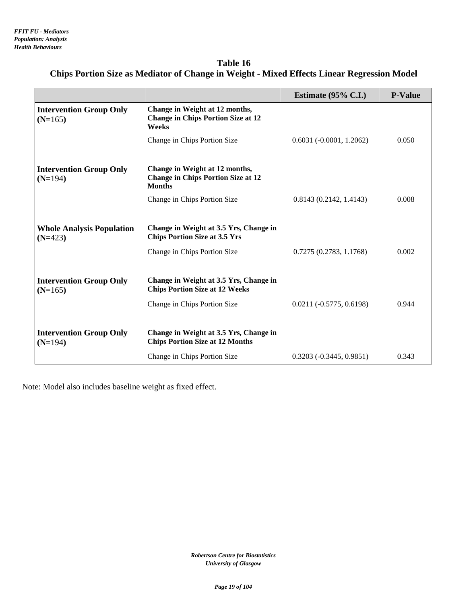| Table 16                                                                                   |
|--------------------------------------------------------------------------------------------|
| Chips Portion Size as Mediator of Change in Weight - Mixed Effects Linear Regression Model |

|                                               |                                                                                              | Estimate $(95\% \text{ C.I.})$ | <b>P-Value</b> |
|-----------------------------------------------|----------------------------------------------------------------------------------------------|--------------------------------|----------------|
| <b>Intervention Group Only</b><br>$(N=165)$   | Change in Weight at 12 months,<br><b>Change in Chips Portion Size at 12</b><br>Weeks         |                                |                |
|                                               | Change in Chips Portion Size                                                                 | $0.6031(-0.0001, 1.2062)$      | 0.050          |
|                                               |                                                                                              |                                |                |
| <b>Intervention Group Only</b><br>$(N=194)$   | Change in Weight at 12 months,<br><b>Change in Chips Portion Size at 12</b><br><b>Months</b> |                                |                |
|                                               | Change in Chips Portion Size                                                                 | 0.8143(0.2142, 1.4143)         | 0.008          |
|                                               |                                                                                              |                                |                |
| <b>Whole Analysis Population</b><br>$(N=423)$ | Change in Weight at 3.5 Yrs, Change in<br><b>Chips Portion Size at 3.5 Yrs</b>               |                                |                |
|                                               | Change in Chips Portion Size                                                                 | 0.7275(0.2783, 1.1768)         | 0.002          |
|                                               |                                                                                              |                                |                |
| <b>Intervention Group Only</b><br>$(N=165)$   | Change in Weight at 3.5 Yrs, Change in<br><b>Chips Portion Size at 12 Weeks</b>              |                                |                |
|                                               | Change in Chips Portion Size                                                                 | $0.0211 (-0.5775, 0.6198)$     | 0.944          |
|                                               |                                                                                              |                                |                |
| <b>Intervention Group Only</b><br>$(N=194)$   | Change in Weight at 3.5 Yrs, Change in<br><b>Chips Portion Size at 12 Months</b>             |                                |                |
|                                               | Change in Chips Portion Size                                                                 | $0.3203(-0.3445, 0.9851)$      | 0.343          |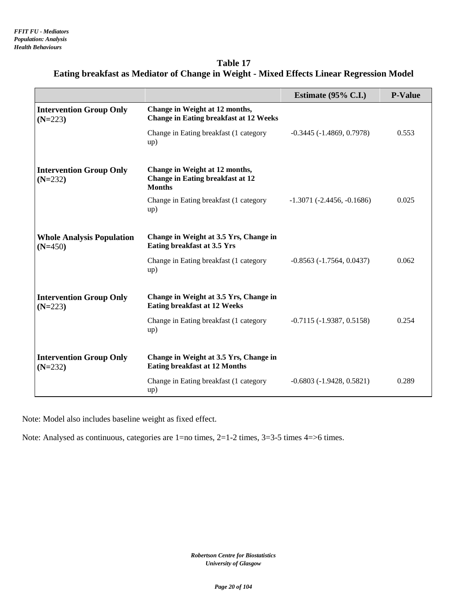| Table 17                                                                                 |
|------------------------------------------------------------------------------------------|
| Eating breakfast as Mediator of Change in Weight - Mixed Effects Linear Regression Model |

|                                               |                                                                                            | Estimate $(95\% \text{ C.I.})$      | <b>P-Value</b> |
|-----------------------------------------------|--------------------------------------------------------------------------------------------|-------------------------------------|----------------|
| <b>Intervention Group Only</b><br>$(N=223)$   | Change in Weight at 12 months,<br><b>Change in Eating breakfast at 12 Weeks</b>            |                                     |                |
|                                               | Change in Eating breakfast (1 category<br>up)                                              | $-0.3445 (-1.4869, 0.7978)$         | 0.553          |
| <b>Intervention Group Only</b><br>$(N=232)$   | Change in Weight at 12 months,<br><b>Change in Eating breakfast at 12</b><br><b>Months</b> |                                     |                |
|                                               | Change in Eating breakfast (1 category<br>up)                                              | $-1.3071$ ( $-2.4456$ , $-0.1686$ ) | 0.025          |
| <b>Whole Analysis Population</b><br>$(N=450)$ | Change in Weight at 3.5 Yrs, Change in<br>Eating breakfast at 3.5 Yrs                      |                                     |                |
|                                               | Change in Eating breakfast (1 category<br>up)                                              | $-0.8563(-1.7564, 0.0437)$          | 0.062          |
| <b>Intervention Group Only</b><br>$(N=223)$   | Change in Weight at 3.5 Yrs, Change in<br><b>Eating breakfast at 12 Weeks</b>              |                                     |                |
|                                               | Change in Eating breakfast (1 category<br>up)                                              | $-0.7115(-1.9387, 0.5158)$          | 0.254          |
| <b>Intervention Group Only</b><br>$(N=232)$   | Change in Weight at 3.5 Yrs, Change in<br><b>Eating breakfast at 12 Months</b>             |                                     |                |
|                                               | Change in Eating breakfast (1 category<br>up)                                              | $-0.6803(-1.9428, 0.5821)$          | 0.289          |

Note: Analysed as continuous, categories are 1=no times, 2=1-2 times, 3=3-5 times 4=>6 times.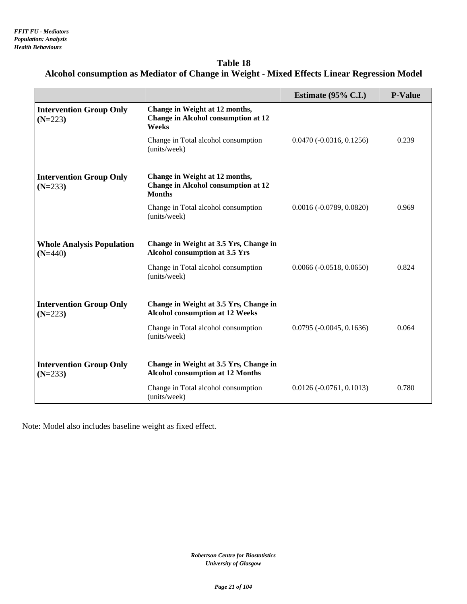| Table 18                                                                                    |
|---------------------------------------------------------------------------------------------|
| Alcohol consumption as Mediator of Change in Weight - Mixed Effects Linear Regression Model |

|                                               |                                                                                               | Estimate $(95\% \text{ C.I.})$ | <b>P-Value</b> |
|-----------------------------------------------|-----------------------------------------------------------------------------------------------|--------------------------------|----------------|
| <b>Intervention Group Only</b><br>$(N=223)$   | Change in Weight at 12 months,<br><b>Change in Alcohol consumption at 12</b><br>Weeks         |                                |                |
|                                               | Change in Total alcohol consumption<br>(units/week)                                           | $0.0470 (-0.0316, 0.1256)$     | 0.239          |
| <b>Intervention Group Only</b><br>$(N=233)$   | Change in Weight at 12 months,<br><b>Change in Alcohol consumption at 12</b><br><b>Months</b> |                                |                |
|                                               | Change in Total alcohol consumption<br>(units/week)                                           | $0.0016 (-0.0789, 0.0820)$     | 0.969          |
| <b>Whole Analysis Population</b><br>$(N=440)$ | Change in Weight at 3.5 Yrs, Change in<br>Alcohol consumption at 3.5 Yrs                      |                                |                |
|                                               | Change in Total alcohol consumption<br>(units/week)                                           | $0.0066 (-0.0518, 0.0650)$     | 0.824          |
| <b>Intervention Group Only</b><br>$(N=223)$   | Change in Weight at 3.5 Yrs, Change in<br><b>Alcohol consumption at 12 Weeks</b>              |                                |                |
|                                               | Change in Total alcohol consumption<br>(units/week)                                           | $0.0795 (-0.0045, 0.1636)$     | 0.064          |
| <b>Intervention Group Only</b><br>$(N=233)$   | Change in Weight at 3.5 Yrs, Change in<br><b>Alcohol consumption at 12 Months</b>             |                                |                |
|                                               | Change in Total alcohol consumption<br>(units/week)                                           | $0.0126 (-0.0761, 0.1013)$     | 0.780          |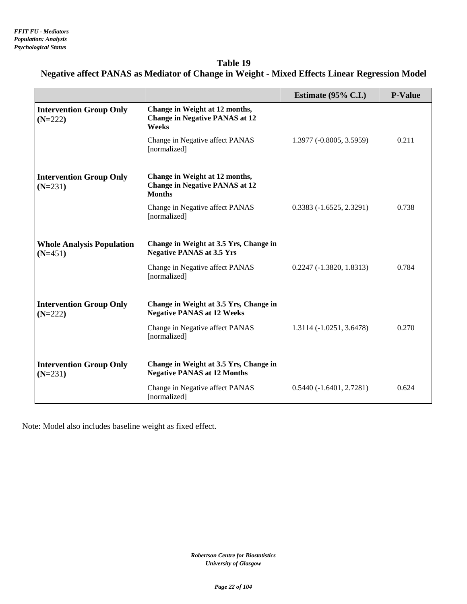## **Table 19 Negative affect PANAS as Mediator of Change in Weight - Mixed Effects Linear Regression Model**

|                                               |                                                                                          | Estimate $(95\% \text{ C.I.})$ | <b>P-Value</b> |
|-----------------------------------------------|------------------------------------------------------------------------------------------|--------------------------------|----------------|
| <b>Intervention Group Only</b><br>$(N=222)$   | Change in Weight at 12 months,<br><b>Change in Negative PANAS at 12</b><br>Weeks         |                                |                |
|                                               | Change in Negative affect PANAS<br>[normalized]                                          | 1.3977 (-0.8005, 3.5959)       | 0.211          |
| <b>Intervention Group Only</b><br>$(N=231)$   | Change in Weight at 12 months,<br><b>Change in Negative PANAS at 12</b><br><b>Months</b> |                                |                |
|                                               | Change in Negative affect PANAS<br>[normalized]                                          | $0.3383(-1.6525, 2.3291)$      | 0.738          |
| <b>Whole Analysis Population</b><br>$(N=451)$ | Change in Weight at 3.5 Yrs, Change in<br><b>Negative PANAS at 3.5 Yrs</b>               |                                |                |
|                                               | Change in Negative affect PANAS<br>[normalized]                                          | $0.2247 (-1.3820, 1.8313)$     | 0.784          |
| <b>Intervention Group Only</b><br>$(N=222)$   | Change in Weight at 3.5 Yrs, Change in<br><b>Negative PANAS at 12 Weeks</b>              |                                |                |
|                                               | Change in Negative affect PANAS<br>[normalized]                                          | 1.3114 (-1.0251, 3.6478)       | 0.270          |
| <b>Intervention Group Only</b><br>$(N=231)$   | Change in Weight at 3.5 Yrs, Change in<br><b>Negative PANAS at 12 Months</b>             |                                |                |
|                                               | Change in Negative affect PANAS<br>[normalized]                                          | $0.5440(-1.6401, 2.7281)$      | 0.624          |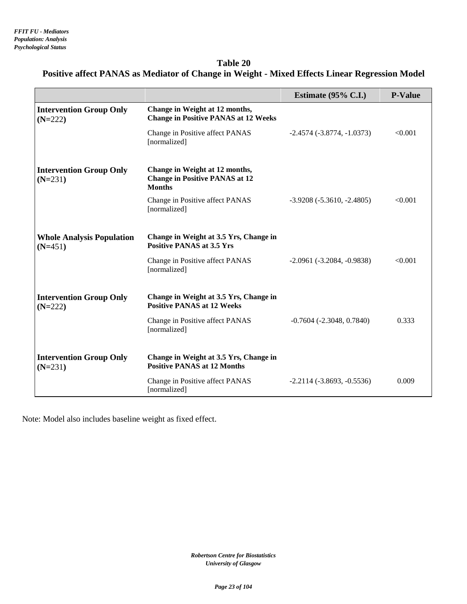### **Table 20 Positive affect PANAS as Mediator of Change in Weight - Mixed Effects Linear Regression Model**

|                                               |                                                                                          | Estimate $(95\% \text{ C.I.})$     | <b>P-Value</b> |
|-----------------------------------------------|------------------------------------------------------------------------------------------|------------------------------------|----------------|
| <b>Intervention Group Only</b><br>$(N=222)$   | Change in Weight at 12 months,<br><b>Change in Positive PANAS at 12 Weeks</b>            |                                    |                |
|                                               | Change in Positive affect PANAS<br>[normalized]                                          | $-2.4574$ $(-3.8774, -1.0373)$     | < 0.001        |
| <b>Intervention Group Only</b><br>$(N=231)$   | Change in Weight at 12 months,<br><b>Change in Positive PANAS at 12</b><br><b>Months</b> |                                    |                |
|                                               | Change in Positive affect PANAS<br>[normalized]                                          | $-3.9208(-5.3610,-2.4805)$         | < 0.001        |
| <b>Whole Analysis Population</b><br>$(N=451)$ | Change in Weight at 3.5 Yrs, Change in<br><b>Positive PANAS at 3.5 Yrs</b>               |                                    |                |
|                                               | Change in Positive affect PANAS<br>[normalized]                                          | $-2.0961$ $(-3.2084, -0.9838)$     | < 0.001        |
| <b>Intervention Group Only</b><br>$(N=222)$   | Change in Weight at 3.5 Yrs, Change in<br><b>Positive PANAS at 12 Weeks</b>              |                                    |                |
|                                               | Change in Positive affect PANAS<br>[normalized]                                          | $-0.7604$ ( $-2.3048$ , $0.7840$ ) | 0.333          |
| <b>Intervention Group Only</b><br>$(N=231)$   | Change in Weight at 3.5 Yrs, Change in<br><b>Positive PANAS at 12 Months</b>             |                                    |                |
|                                               | Change in Positive affect PANAS<br>[normalized]                                          | $-2.2114(-3.8693, -0.5536)$        | 0.009          |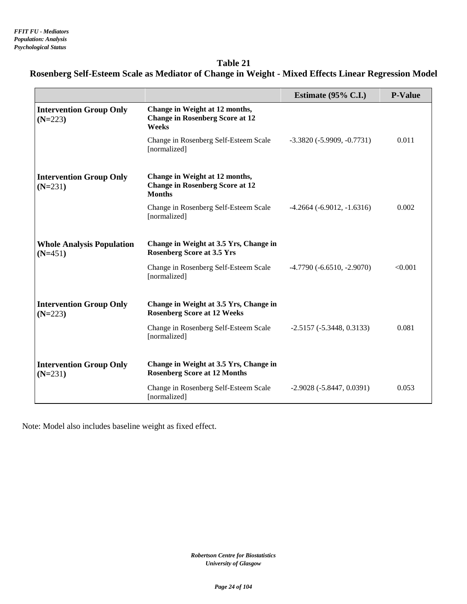## **Table 21 Rosenberg Self-Esteem Scale as Mediator of Change in Weight - Mixed Effects Linear Regression Model**

|                                               |                                                                                           | Estimate $(95\% \text{ C.I.})$ | <b>P-Value</b> |
|-----------------------------------------------|-------------------------------------------------------------------------------------------|--------------------------------|----------------|
| <b>Intervention Group Only</b><br>$(N=223)$   | Change in Weight at 12 months,<br><b>Change in Rosenberg Score at 12</b><br>Weeks         |                                |                |
|                                               | Change in Rosenberg Self-Esteem Scale<br>[normalized]                                     | $-3.3820(-5.9909, -0.7731)$    | 0.011          |
| <b>Intervention Group Only</b><br>$(N=231)$   | Change in Weight at 12 months,<br><b>Change in Rosenberg Score at 12</b><br><b>Months</b> |                                |                |
|                                               | Change in Rosenberg Self-Esteem Scale<br>[normalized]                                     | $-4.2664$ $(-6.9012, -1.6316)$ | 0.002          |
| <b>Whole Analysis Population</b><br>$(N=451)$ | Change in Weight at 3.5 Yrs, Change in<br><b>Rosenberg Score at 3.5 Yrs</b>               |                                |                |
|                                               | Change in Rosenberg Self-Esteem Scale<br>[normalized]                                     | $-4.7790(-6.6510,-2.9070)$     | < 0.001        |
| <b>Intervention Group Only</b><br>$(N=223)$   | Change in Weight at 3.5 Yrs, Change in<br><b>Rosenberg Score at 12 Weeks</b>              |                                |                |
|                                               | Change in Rosenberg Self-Esteem Scale<br>[normalized]                                     | $-2.5157(-5.3448, 0.3133)$     | 0.081          |
| <b>Intervention Group Only</b><br>$(N=231)$   | Change in Weight at 3.5 Yrs, Change in<br><b>Rosenberg Score at 12 Months</b>             |                                |                |
|                                               | Change in Rosenberg Self-Esteem Scale<br>[normalized]                                     | $-2.9028(-5.8447, 0.0391)$     | 0.053          |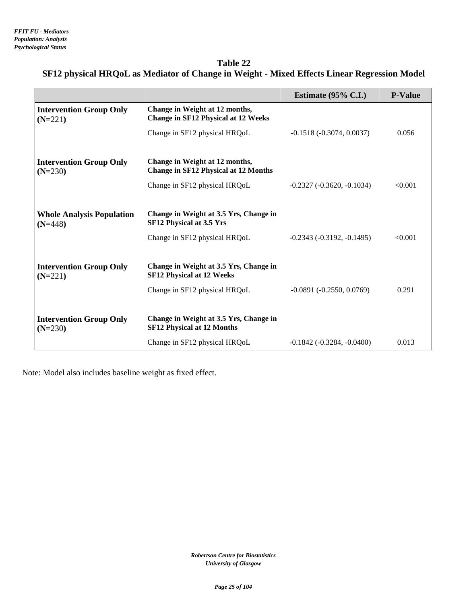| <b>Table 22</b>                                                                             |  |
|---------------------------------------------------------------------------------------------|--|
| SF12 physical HRQoL as Mediator of Change in Weight - Mixed Effects Linear Regression Model |  |

|                                               |                                                                               | Estimate $(95\% \text{ C.I.})$      | <b>P-Value</b> |
|-----------------------------------------------|-------------------------------------------------------------------------------|-------------------------------------|----------------|
| <b>Intervention Group Only</b><br>$(N=221)$   | Change in Weight at 12 months,<br><b>Change in SF12 Physical at 12 Weeks</b>  |                                     |                |
|                                               | Change in SF12 physical HRQoL                                                 | $-0.1518(-0.3074, 0.0037)$          | 0.056          |
| <b>Intervention Group Only</b><br>$(N=230)$   | Change in Weight at 12 months,<br><b>Change in SF12 Physical at 12 Months</b> |                                     |                |
|                                               | Change in SF12 physical HRQoL                                                 | $-0.2327 (-0.3620, -0.1034)$        | < 0.001        |
|                                               |                                                                               |                                     |                |
| <b>Whole Analysis Population</b><br>$(N=448)$ | Change in Weight at 3.5 Yrs, Change in<br>SF12 Physical at 3.5 Yrs            |                                     |                |
|                                               | Change in SF12 physical HRQoL                                                 | $-0.2343$ $(-0.3192, -0.1495)$      | < 0.001        |
|                                               |                                                                               |                                     |                |
| <b>Intervention Group Only</b><br>$(N=221)$   | Change in Weight at 3.5 Yrs, Change in<br><b>SF12 Physical at 12 Weeks</b>    |                                     |                |
|                                               | Change in SF12 physical HRQoL                                                 | $-0.0891(-0.2550, 0.0769)$          | 0.291          |
|                                               |                                                                               |                                     |                |
| <b>Intervention Group Only</b><br>$(N=230)$   | Change in Weight at 3.5 Yrs, Change in<br><b>SF12 Physical at 12 Months</b>   |                                     |                |
|                                               | Change in SF12 physical HRQoL                                                 | $-0.1842$ ( $-0.3284$ , $-0.0400$ ) | 0.013          |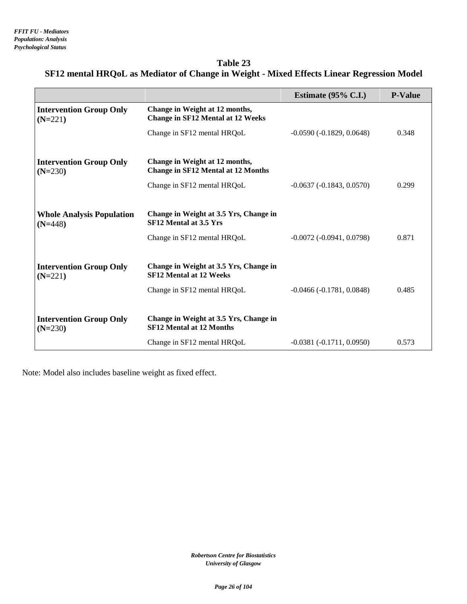| Table 23                                                                                  |  |
|-------------------------------------------------------------------------------------------|--|
| SF12 mental HRQoL as Mediator of Change in Weight - Mixed Effects Linear Regression Model |  |

|                                               |                                                                             | Estimate $(95\% \text{ C.L.})$     | <b>P-Value</b> |
|-----------------------------------------------|-----------------------------------------------------------------------------|------------------------------------|----------------|
| <b>Intervention Group Only</b><br>$(N=221)$   | Change in Weight at 12 months,<br><b>Change in SF12 Mental at 12 Weeks</b>  |                                    |                |
|                                               | Change in SF12 mental HRQoL                                                 | $-0.0590(-0.1829, 0.0648)$         | 0.348          |
| <b>Intervention Group Only</b><br>$(N=230)$   | Change in Weight at 12 months,<br><b>Change in SF12 Mental at 12 Months</b> |                                    |                |
|                                               | Change in SF12 mental HRQoL                                                 | $-0.0637(-0.1843, 0.0570)$         | 0.299          |
| <b>Whole Analysis Population</b><br>$(N=448)$ | Change in Weight at 3.5 Yrs, Change in<br>SF12 Mental at 3.5 Yrs            |                                    |                |
|                                               | Change in SF12 mental HRQoL                                                 | $-0.0072$ ( $-0.0941$ , $0.0798$ ) | 0.871          |
| <b>Intervention Group Only</b><br>$(N=221)$   | Change in Weight at 3.5 Yrs, Change in<br><b>SF12 Mental at 12 Weeks</b>    |                                    |                |
|                                               | Change in SF12 mental HRQoL                                                 | $-0.0466(-0.1781, 0.0848)$         | 0.485          |
| <b>Intervention Group Only</b><br>$(N=230)$   | Change in Weight at 3.5 Yrs, Change in<br><b>SF12 Mental at 12 Months</b>   |                                    |                |
|                                               | Change in SF12 mental HRQoL                                                 | $-0.0381(-0.1711, 0.0950)$         | 0.573          |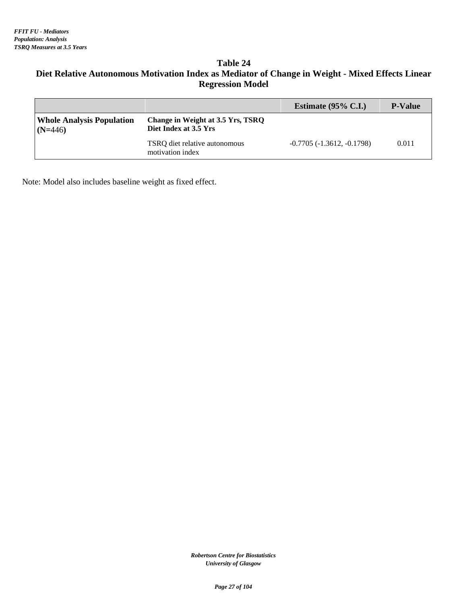#### **Table 24 Diet Relative Autonomous Motivation Index as Mediator of Change in Weight - Mixed Effects Linear Regression Model**

|                                               |                                                            | Estimate $(95\% \text{ C.I.})$ | <b>P-Value</b> |
|-----------------------------------------------|------------------------------------------------------------|--------------------------------|----------------|
| <b>Whole Analysis Population</b><br>$(N=446)$ | Change in Weight at 3.5 Yrs, TSRQ<br>Diet Index at 3.5 Yrs |                                |                |
|                                               | TSRQ diet relative autonomous<br>motivation index          | $-0.7705(-1.3612,-0.1798)$     | 0.011          |

Note: Model also includes baseline weight as fixed effect.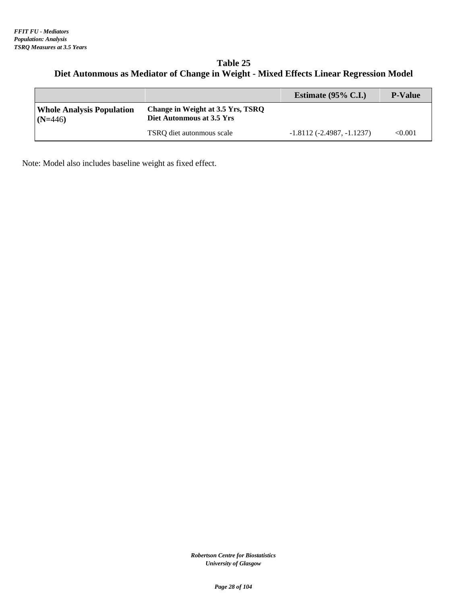#### **Table 25 Diet Autonmous as Mediator of Change in Weight - Mixed Effects Linear Regression Model**

|                                               |                                                                | Estimate $(95\% \text{ C.I.})$ | <b>P-Value</b> |
|-----------------------------------------------|----------------------------------------------------------------|--------------------------------|----------------|
| <b>Whole Analysis Population</b><br>$(N=446)$ | Change in Weight at 3.5 Yrs, TSRO<br>Diet Autonmous at 3.5 Yrs |                                |                |
|                                               | TSRO diet autonmous scale                                      | $-1.8112(-2.4987,-1.1237)$     | < 0.001        |

Note: Model also includes baseline weight as fixed effect.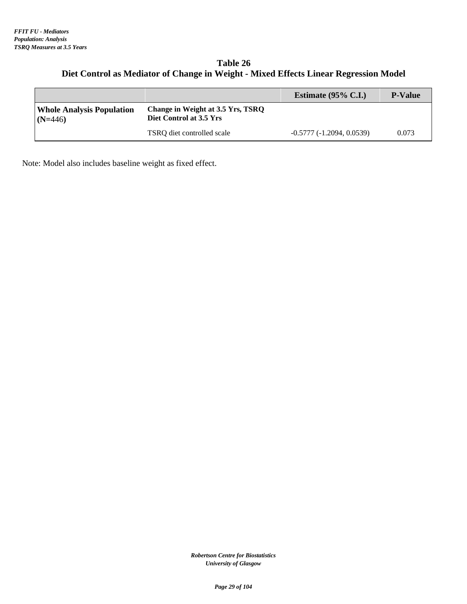#### **Table 26 Diet Control as Mediator of Change in Weight - Mixed Effects Linear Regression Model**

|                                               |                                                              | Estimate $(95\% \text{ C.I.})$ | <b>P-Value</b> |
|-----------------------------------------------|--------------------------------------------------------------|--------------------------------|----------------|
| <b>Whole Analysis Population</b><br>$(N=446)$ | Change in Weight at 3.5 Yrs, TSRQ<br>Diet Control at 3.5 Yrs |                                |                |
|                                               | TSRO diet controlled scale                                   | $-0.5777(-1.2094, 0.0539)$     | 0.073          |

Note: Model also includes baseline weight as fixed effect.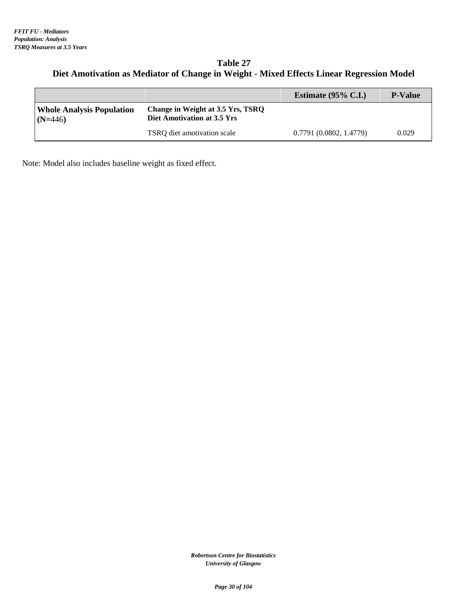#### **Table 27 Diet Amotivation as Mediator of Change in Weight - Mixed Effects Linear Regression Model**

|                                               |                                                                  | Estimate $(95\% \text{ C.I.})$ | <b>P-Value</b> |
|-----------------------------------------------|------------------------------------------------------------------|--------------------------------|----------------|
| <b>Whole Analysis Population</b><br>$(N=446)$ | Change in Weight at 3.5 Yrs, TSRQ<br>Diet Amotivation at 3.5 Yrs |                                |                |
|                                               | TSRO diet amotivation scale                                      | 0.7791(0.0802, 1.4779)         | 0.029          |

Note: Model also includes baseline weight as fixed effect.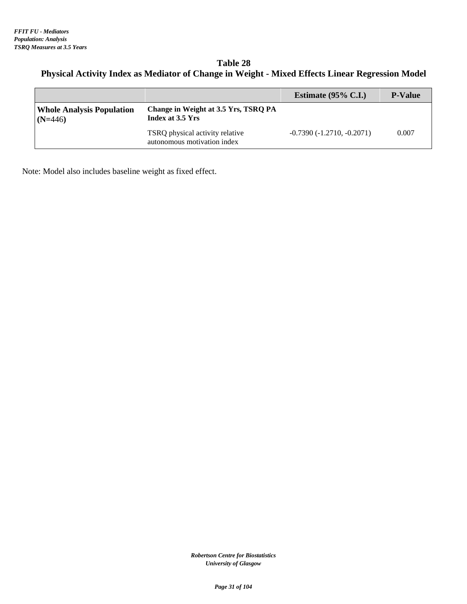#### **Table 28 Physical Activity Index as Mediator of Change in Weight - Mixed Effects Linear Regression Model**

|                                               |                                                                | Estimate $(95\% \text{ C.I.})$ | <b>P-Value</b> |
|-----------------------------------------------|----------------------------------------------------------------|--------------------------------|----------------|
| <b>Whole Analysis Population</b><br>$(N=446)$ | Change in Weight at 3.5 Yrs, TSRO PA<br>Index at 3.5 Yrs       |                                |                |
|                                               | TSRQ physical activity relative<br>autonomous motivation index | $-0.7390(-1.2710,-0.2071)$     | 0.007          |

Note: Model also includes baseline weight as fixed effect.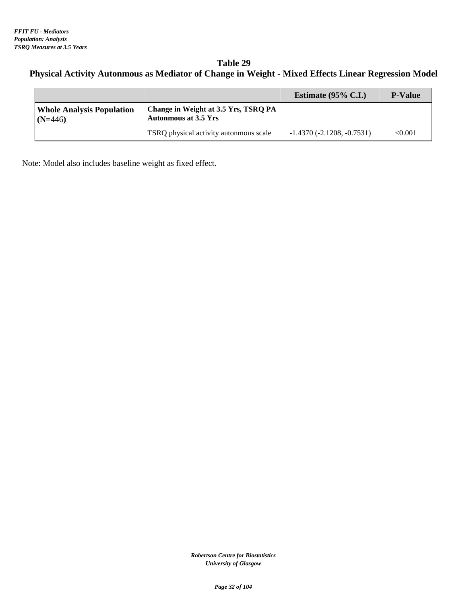### **Table 29 Physical Activity Autonmous as Mediator of Change in Weight - Mixed Effects Linear Regression Model**

|                                               |                                                                     | Estimate $(95\% \text{ C.I.})$ | <b>P-Value</b> |
|-----------------------------------------------|---------------------------------------------------------------------|--------------------------------|----------------|
| <b>Whole Analysis Population</b><br>$(N=446)$ | Change in Weight at 3.5 Yrs, TSRQ PA<br><b>Autonmous at 3.5 Yrs</b> |                                |                |
|                                               | TSRQ physical activity autonmous scale                              | $-1.4370(-2.1208, -0.7531)$    | $<\!\!0.001$   |

Note: Model also includes baseline weight as fixed effect.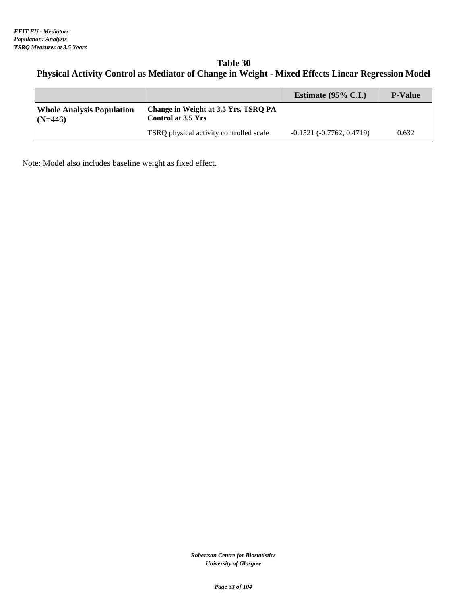### **Table 30 Physical Activity Control as Mediator of Change in Weight - Mixed Effects Linear Regression Model**

|                                               |                                                                   | Estimate $(95\% \text{ C.I.})$ | <b>P-Value</b> |
|-----------------------------------------------|-------------------------------------------------------------------|--------------------------------|----------------|
| <b>Whole Analysis Population</b><br>$(N=446)$ | Change in Weight at 3.5 Yrs, TSRQ PA<br><b>Control at 3.5 Yrs</b> |                                |                |
|                                               | TSRQ physical activity controlled scale                           | $-0.1521(-0.7762, 0.4719)$     | 0.632          |

Note: Model also includes baseline weight as fixed effect.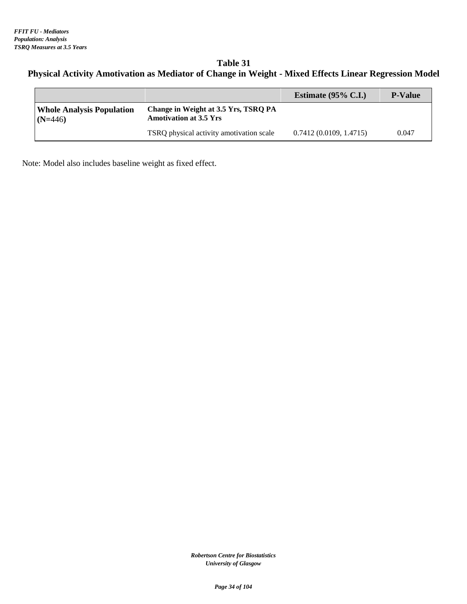#### **Table 31 Physical Activity Amotivation as Mediator of Change in Weight - Mixed Effects Linear Regression Model**

|                                               |                                                                       | Estimate $(95\% \text{ C.I.})$ | <b>P-Value</b> |
|-----------------------------------------------|-----------------------------------------------------------------------|--------------------------------|----------------|
| <b>Whole Analysis Population</b><br>$(N=446)$ | Change in Weight at 3.5 Yrs, TSRQ PA<br><b>Amotivation at 3.5 Yrs</b> |                                |                |
|                                               | TSRQ physical activity amotivation scale                              | 0.7412(0.0109, 1.4715)         | 0.047          |

Note: Model also includes baseline weight as fixed effect.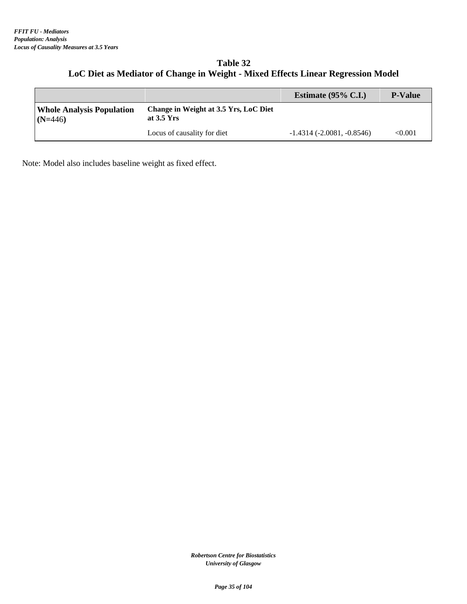#### **Table 32 LoC Diet as Mediator of Change in Weight - Mixed Effects Linear Regression Model**

|                                               |                                                              | Estimate $(95\% \text{ C.I.})$ | <b>P-Value</b> |
|-----------------------------------------------|--------------------------------------------------------------|--------------------------------|----------------|
| <b>Whole Analysis Population</b><br>$(N=446)$ | Change in Weight at 3.5 Yrs, LoC Diet<br>at $3.5 \text{Yrs}$ |                                |                |
|                                               | Locus of causality for diet                                  | $-1.4314(-2.0081, -0.8546)$    | $<\!\!0.001$   |

Note: Model also includes baseline weight as fixed effect.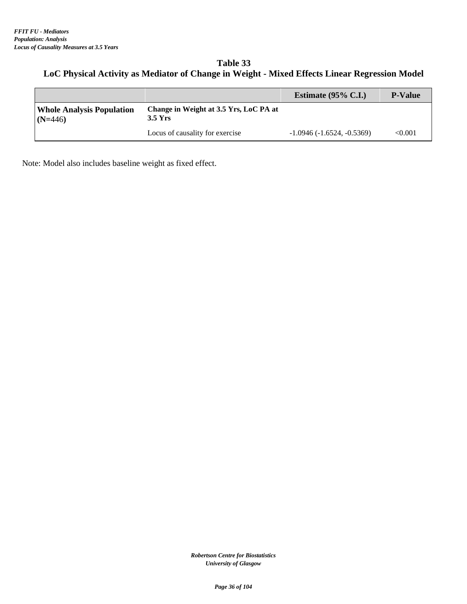#### **Table 33 LoC Physical Activity as Mediator of Change in Weight - Mixed Effects Linear Regression Model**

|                                               |                                                     | Estimate $(95\% \text{ C.I.})$ | <b>P-Value</b> |
|-----------------------------------------------|-----------------------------------------------------|--------------------------------|----------------|
| <b>Whole Analysis Population</b><br>$(N=446)$ | Change in Weight at 3.5 Yrs, LoC PA at<br>$3.5$ Yrs |                                |                |
|                                               | Locus of causality for exercise                     | $-1.0946(-1.6524, -0.5369)$    | < 0.001        |

Note: Model also includes baseline weight as fixed effect.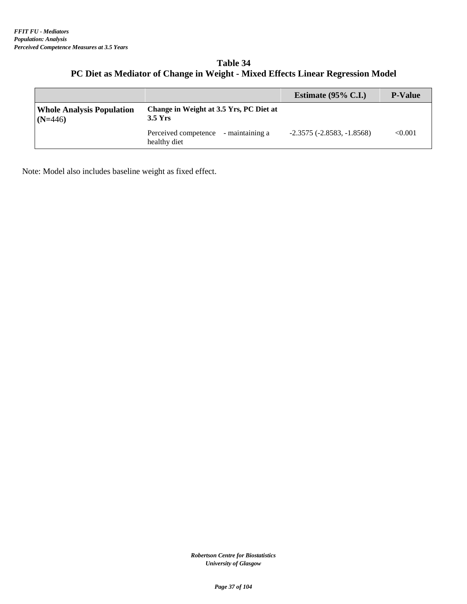| <b>Table 34</b>                                                                 |  |
|---------------------------------------------------------------------------------|--|
| PC Diet as Mediator of Change in Weight - Mixed Effects Linear Regression Model |  |

|                                               |                                                      | Estimate $(95\% \text{ C.I.})$      | <b>P-Value</b> |
|-----------------------------------------------|------------------------------------------------------|-------------------------------------|----------------|
| <b>Whole Analysis Population</b><br>$(N=446)$ | Change in Weight at 3.5 Yrs, PC Diet at<br>$3.5$ Yrs |                                     |                |
|                                               | Perceived competence - maintaining a<br>healthy diet | $-2.3575$ ( $-2.8583$ , $-1.8568$ ) | < 0.001        |

Note: Model also includes baseline weight as fixed effect.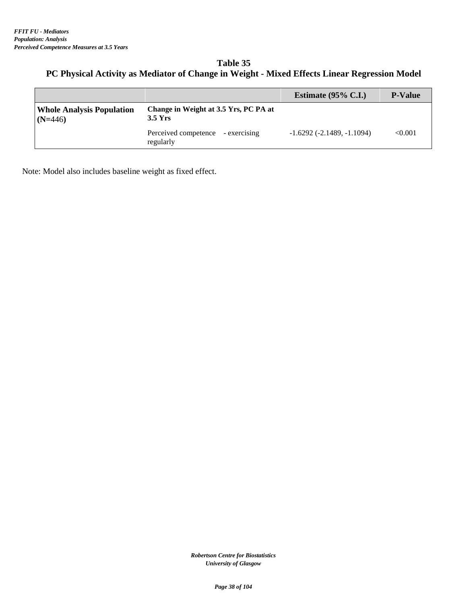# **Table 35 PC Physical Activity as Mediator of Change in Weight - Mixed Effects Linear Regression Model**

|                                               |                                                    | Estimate $(95\% \text{ C.I.})$ | <b>P-Value</b> |
|-----------------------------------------------|----------------------------------------------------|--------------------------------|----------------|
| <b>Whole Analysis Population</b><br>$(N=446)$ | Change in Weight at 3.5 Yrs, PC PA at<br>$3.5$ Yrs |                                |                |
|                                               | Perceived competence - exercising<br>regularly     | $-1.6292(-2.1489,-1.1094)$     | < 0.001        |

Note: Model also includes baseline weight as fixed effect.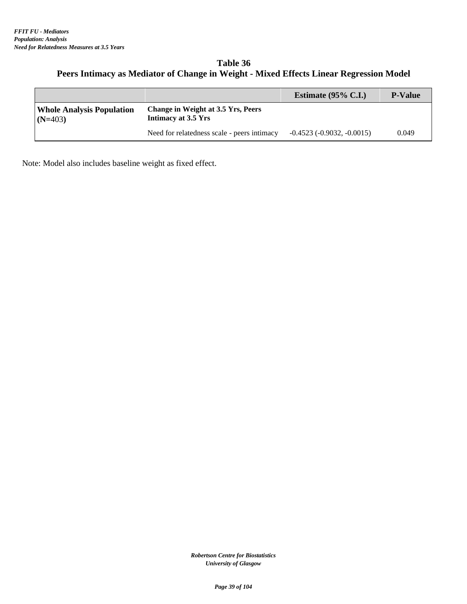# **Table 36 Peers Intimacy as Mediator of Change in Weight - Mixed Effects Linear Regression Model**

|                                               |                                                                  | Estimate $(95\% \text{ C.I.})$ | <b>P-Value</b> |
|-----------------------------------------------|------------------------------------------------------------------|--------------------------------|----------------|
| <b>Whole Analysis Population</b><br>$(N=403)$ | <b>Change in Weight at 3.5 Yrs, Peers</b><br>Intimacy at 3.5 Yrs |                                |                |
|                                               | Need for relatedness scale - peers intimacy                      | $-0.4523$ $(-0.9032, -0.0015)$ | 0.049          |

Note: Model also includes baseline weight as fixed effect.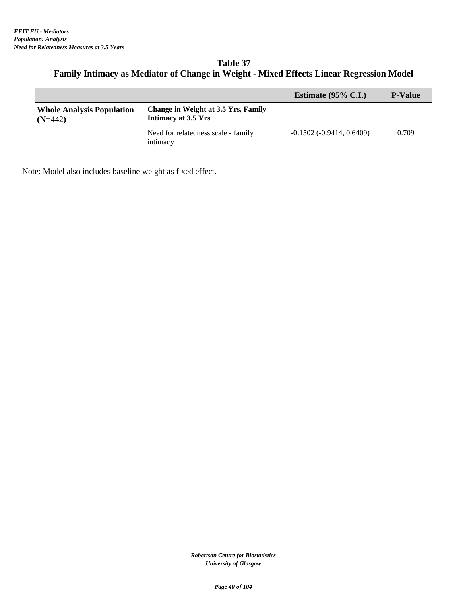### **Table 37 Family Intimacy as Mediator of Change in Weight - Mixed Effects Linear Regression Model**

|                                               |                                                                   | Estimate $(95\% \text{ C.I.})$     | <b>P-Value</b> |
|-----------------------------------------------|-------------------------------------------------------------------|------------------------------------|----------------|
| <b>Whole Analysis Population</b><br>$(N=442)$ | <b>Change in Weight at 3.5 Yrs, Family</b><br>Intimacy at 3.5 Yrs |                                    |                |
|                                               | Need for relatedness scale - family<br>intimacy                   | $-0.1502$ ( $-0.9414$ , $0.6409$ ) | 0.709          |

Note: Model also includes baseline weight as fixed effect.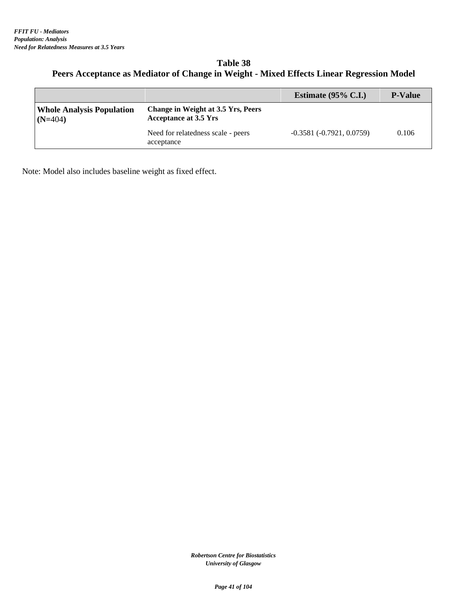### **Table 38 Peers Acceptance as Mediator of Change in Weight - Mixed Effects Linear Regression Model**

|                                               |                                                                    | Estimate $(95\% \text{ C.I.})$ | <b>P-Value</b> |
|-----------------------------------------------|--------------------------------------------------------------------|--------------------------------|----------------|
| <b>Whole Analysis Population</b><br>$(N=404)$ | Change in Weight at 3.5 Yrs, Peers<br><b>Acceptance at 3.5 Yrs</b> |                                |                |
|                                               | Need for relatedness scale - peers<br>acceptance                   | $-0.3581(-0.7921, 0.0759)$     | 0.106          |

Note: Model also includes baseline weight as fixed effect.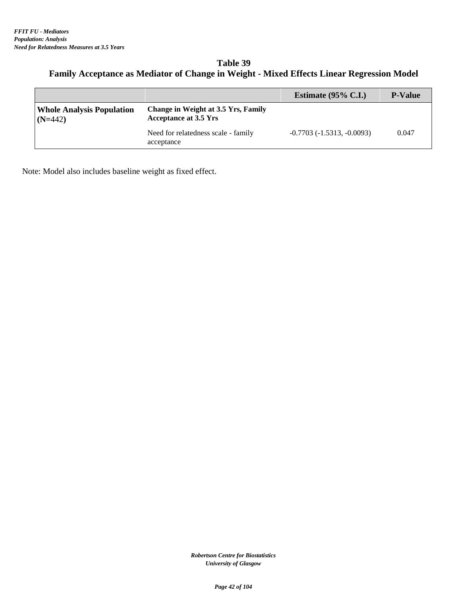#### **Table 39 Family Acceptance as Mediator of Change in Weight - Mixed Effects Linear Regression Model**

|                                               |                                                                            | Estimate $(95\% \text{ C.I.})$ | <b>P-Value</b> |
|-----------------------------------------------|----------------------------------------------------------------------------|--------------------------------|----------------|
| <b>Whole Analysis Population</b><br>$(N=442)$ | <b>Change in Weight at 3.5 Yrs, Family</b><br><b>Acceptance at 3.5 Yrs</b> |                                |                |
|                                               | Need for relatedness scale - family<br>acceptance                          | $-0.7703(-1.5313,-0.0093)$     | 0.047          |

Note: Model also includes baseline weight as fixed effect.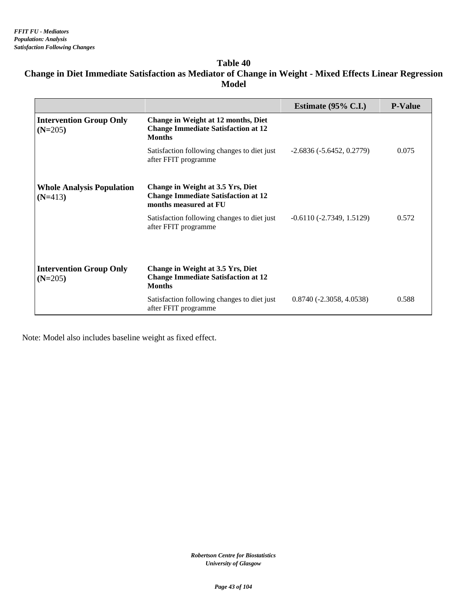# **Table 40 Change in Diet Immediate Satisfaction as Mediator of Change in Weight - Mixed Effects Linear Regression Model**

|                                               |                                                                                                          | Estimate $(95\% \text{ C.I.})$ | <b>P-Value</b> |
|-----------------------------------------------|----------------------------------------------------------------------------------------------------------|--------------------------------|----------------|
| <b>Intervention Group Only</b><br>$(N=205)$   | Change in Weight at 12 months, Diet<br><b>Change Immediate Satisfaction at 12</b><br><b>Months</b>       |                                |                |
|                                               | Satisfaction following changes to diet just<br>after FFIT programme                                      | $-2.6836(-5.6452, 0.2779)$     | 0.075          |
| <b>Whole Analysis Population</b><br>$(N=413)$ | Change in Weight at 3.5 Yrs, Diet<br><b>Change Immediate Satisfaction at 12</b><br>months measured at FU |                                |                |
|                                               | Satisfaction following changes to diet just<br>after FFIT programme                                      | $-0.6110(-2.7349, 1.5129)$     | 0.572          |
|                                               |                                                                                                          |                                |                |
| <b>Intervention Group Only</b><br>$(N=205)$   | Change in Weight at 3.5 Yrs, Diet<br><b>Change Immediate Satisfaction at 12</b><br><b>Months</b>         |                                |                |
|                                               | Satisfaction following changes to diet just<br>after FFIT programme                                      | $0.8740(-2.3058, 4.0538)$      | 0.588          |

Note: Model also includes baseline weight as fixed effect.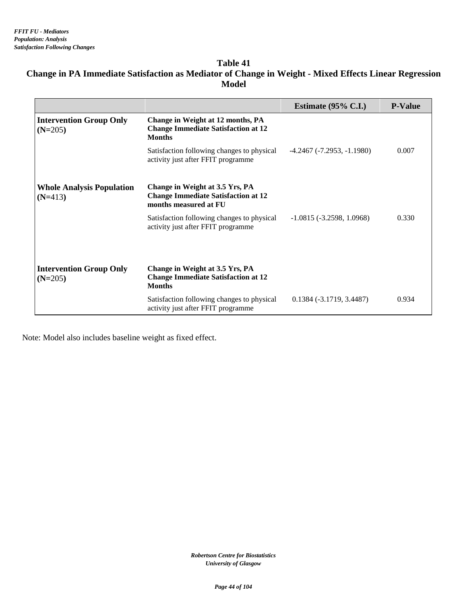#### **Table 41 Change in PA Immediate Satisfaction as Mediator of Change in Weight - Mixed Effects Linear Regression Model**

|                                               |                                                                                                        | Estimate $(95\% \text{ C.I.})$      | <b>P-Value</b> |
|-----------------------------------------------|--------------------------------------------------------------------------------------------------------|-------------------------------------|----------------|
| <b>Intervention Group Only</b><br>$(N=205)$   | Change in Weight at 12 months, PA<br><b>Change Immediate Satisfaction at 12</b><br><b>Months</b>       |                                     |                |
|                                               | Satisfaction following changes to physical<br>activity just after FFIT programme                       | $-4.2467$ ( $-7.2953$ , $-1.1980$ ) | 0.007          |
| <b>Whole Analysis Population</b><br>$(N=413)$ | Change in Weight at 3.5 Yrs, PA<br><b>Change Immediate Satisfaction at 12</b><br>months measured at FU |                                     |                |
|                                               | Satisfaction following changes to physical<br>activity just after FFIT programme                       | $-1.0815(-3.2598, 1.0968)$          | 0.330          |
| <b>Intervention Group Only</b><br>$(N=205)$   | Change in Weight at 3.5 Yrs, PA<br><b>Change Immediate Satisfaction at 12</b><br><b>Months</b>         |                                     |                |
|                                               | Satisfaction following changes to physical<br>activity just after FFIT programme                       | $0.1384(-3.1719, 3.4487)$           | 0.934          |

Note: Model also includes baseline weight as fixed effect.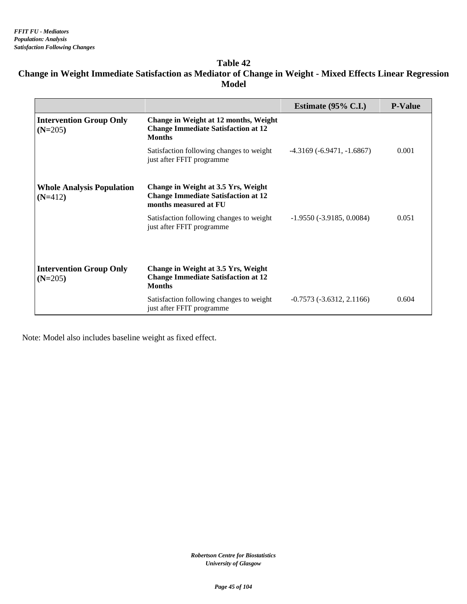### **Table 42 Change in Weight Immediate Satisfaction as Mediator of Change in Weight - Mixed Effects Linear Regression Model**

|                                               |                                                                                                            | Estimate $(95\% \text{ C.I.})$ | <b>P-Value</b> |
|-----------------------------------------------|------------------------------------------------------------------------------------------------------------|--------------------------------|----------------|
| <b>Intervention Group Only</b><br>$(N=205)$   | Change in Weight at 12 months, Weight<br><b>Change Immediate Satisfaction at 12</b><br><b>Months</b>       |                                |                |
|                                               | Satisfaction following changes to weight<br>just after FFIT programme                                      | $-4.3169(-6.9471,-1.6867)$     | 0.001          |
| <b>Whole Analysis Population</b><br>$(N=412)$ | Change in Weight at 3.5 Yrs, Weight<br><b>Change Immediate Satisfaction at 12</b><br>months measured at FU |                                |                |
|                                               | Satisfaction following changes to weight<br>just after FFIT programme                                      | $-1.9550(-3.9185, 0.0084)$     | 0.051          |
|                                               |                                                                                                            |                                |                |
| <b>Intervention Group Only</b><br>$(N=205)$   | Change in Weight at 3.5 Yrs, Weight<br><b>Change Immediate Satisfaction at 12</b><br><b>Months</b>         |                                |                |
|                                               | Satisfaction following changes to weight<br>just after FFIT programme                                      | $-0.7573(-3.6312, 2.1166)$     | 0.604          |

Note: Model also includes baseline weight as fixed effect.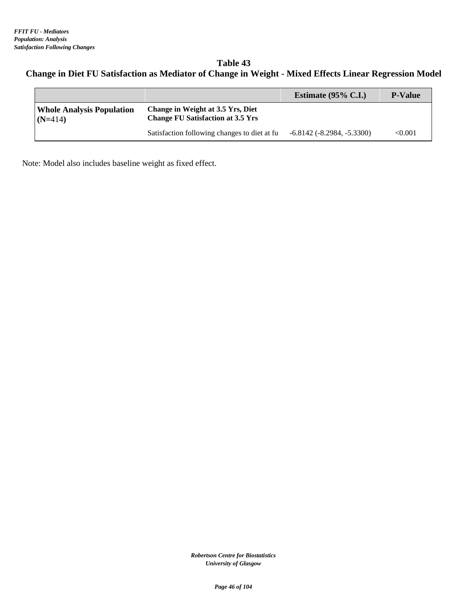# **Table 43 Change in Diet FU Satisfaction as Mediator of Change in Weight - Mixed Effects Linear Regression Model**

|                                               |                                                                               | Estimate $(95\% \text{ C.I.})$      | <b>P-Value</b> |
|-----------------------------------------------|-------------------------------------------------------------------------------|-------------------------------------|----------------|
| <b>Whole Analysis Population</b><br>$(N=414)$ | Change in Weight at 3.5 Yrs, Diet<br><b>Change FU Satisfaction at 3.5 Yrs</b> |                                     |                |
|                                               | Satisfaction following changes to diet at fu                                  | $-6.8142$ ( $-8.2984$ , $-5.3300$ ) | $<\!\!0.001$   |

Note: Model also includes baseline weight as fixed effect.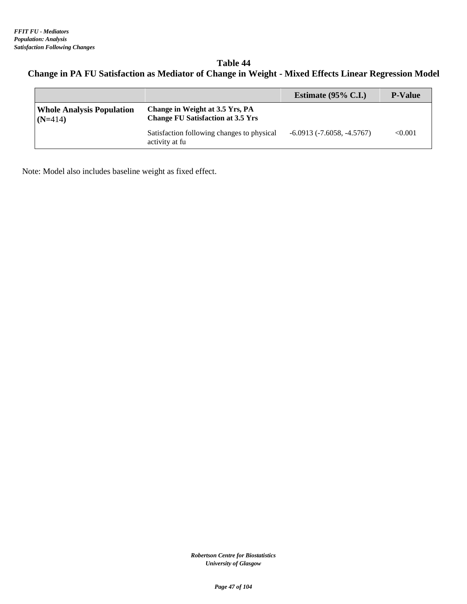# **Table 44 Change in PA FU Satisfaction as Mediator of Change in Weight - Mixed Effects Linear Regression Model**

|                                               |                                                                             | Estimate $(95\% \text{ C.I.})$ | <b>P-Value</b> |
|-----------------------------------------------|-----------------------------------------------------------------------------|--------------------------------|----------------|
| <b>Whole Analysis Population</b><br>$(N=414)$ | Change in Weight at 3.5 Yrs, PA<br><b>Change FU Satisfaction at 3.5 Yrs</b> |                                |                |
|                                               | Satisfaction following changes to physical<br>activity at fu                | $-6.0913(-7.6058, -4.5767)$    | < 0.001        |

Note: Model also includes baseline weight as fixed effect.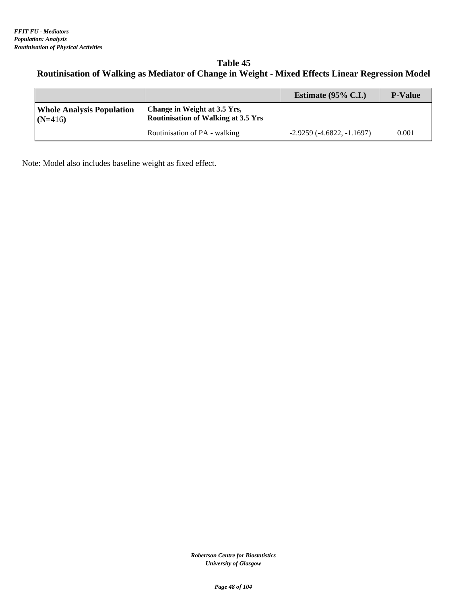# **Table 45 Routinisation of Walking as Mediator of Change in Weight - Mixed Effects Linear Regression Model**

|                                               |                                                                            | Estimate $(95\% \text{ C.I.})$ | <b>P-Value</b> |
|-----------------------------------------------|----------------------------------------------------------------------------|--------------------------------|----------------|
| <b>Whole Analysis Population</b><br>$(N=416)$ | Change in Weight at 3.5 Yrs,<br><b>Routinisation of Walking at 3.5 Yrs</b> |                                |                |
|                                               | Routinisation of PA - walking                                              | $-2.9259(-4.6822,-1.1697)$     | 0.001          |

Note: Model also includes baseline weight as fixed effect.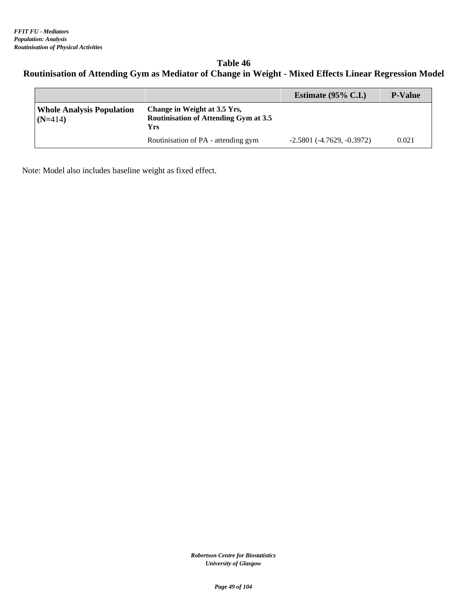# **Table 46 Routinisation of Attending Gym as Mediator of Change in Weight - Mixed Effects Linear Regression Model**

|                                               |                                                                                     | Estimate $(95\% \text{ C.I.})$      | <b>P-Value</b> |
|-----------------------------------------------|-------------------------------------------------------------------------------------|-------------------------------------|----------------|
| <b>Whole Analysis Population</b><br>$(N=414)$ | Change in Weight at 3.5 Yrs,<br><b>Routinisation of Attending Gym at 3.5</b><br>Yrs |                                     |                |
|                                               | Routinisation of PA - attending gym                                                 | $-2.5801$ ( $-4.7629$ , $-0.3972$ ) | 0.021          |

Note: Model also includes baseline weight as fixed effect.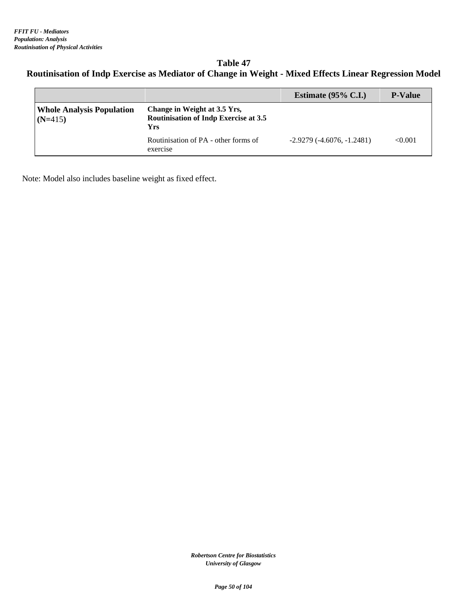# **Table 47 Routinisation of Indp Exercise as Mediator of Change in Weight - Mixed Effects Linear Regression Model**

|                                               |                                                                                     | Estimate $(95\% \text{ C.I.})$ | <b>P-Value</b> |
|-----------------------------------------------|-------------------------------------------------------------------------------------|--------------------------------|----------------|
| <b>Whole Analysis Population</b><br>$(N=415)$ | Change in Weight at 3.5 Yrs,<br><b>Routinisation of Indp Exercise at 3.5</b><br>Yrs |                                |                |
|                                               | Routinisation of PA - other forms of<br>exercise                                    | $-2.9279(-4.6076,-1.2481)$     | < 0.001        |

Note: Model also includes baseline weight as fixed effect.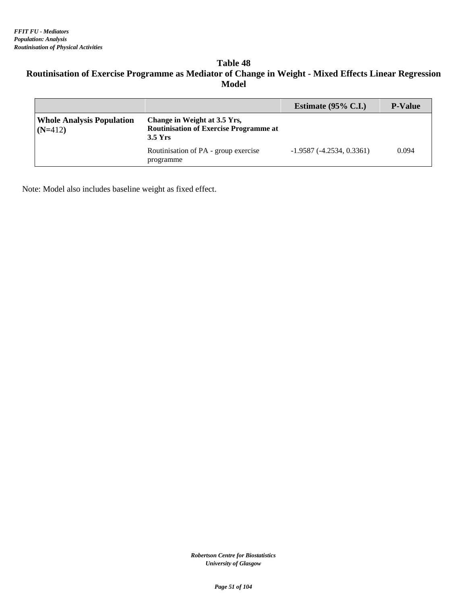# **Table 48 Routinisation of Exercise Programme as Mediator of Change in Weight - Mixed Effects Linear Regression Model**

|                                               |                                                                                            | Estimate $(95\% \text{ C.I.})$ | <b>P-Value</b> |
|-----------------------------------------------|--------------------------------------------------------------------------------------------|--------------------------------|----------------|
| <b>Whole Analysis Population</b><br>$(N=412)$ | Change in Weight at 3.5 Yrs,<br><b>Routinisation of Exercise Programme at</b><br>$3.5$ Yrs |                                |                |
|                                               | Routinisation of PA - group exercise<br>programme                                          | $-1.9587(-4.2534, 0.3361)$     | 0.094          |

Note: Model also includes baseline weight as fixed effect.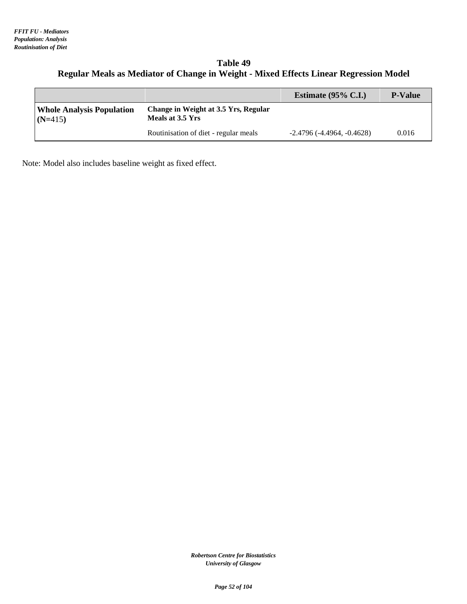#### **Table 49 Regular Meals as Mediator of Change in Weight - Mixed Effects Linear Regression Model**

|                                               |                                                          | Estimate $(95\% \text{ C.L.})$ | <b>P-Value</b> |
|-----------------------------------------------|----------------------------------------------------------|--------------------------------|----------------|
| <b>Whole Analysis Population</b><br>$(N=415)$ | Change in Weight at 3.5 Yrs, Regular<br>Meals at 3.5 Yrs |                                |                |
|                                               | Routinisation of diet - regular meals                    | $-2.4796(-4.4964, -0.4628)$    | 0.016          |

Note: Model also includes baseline weight as fixed effect.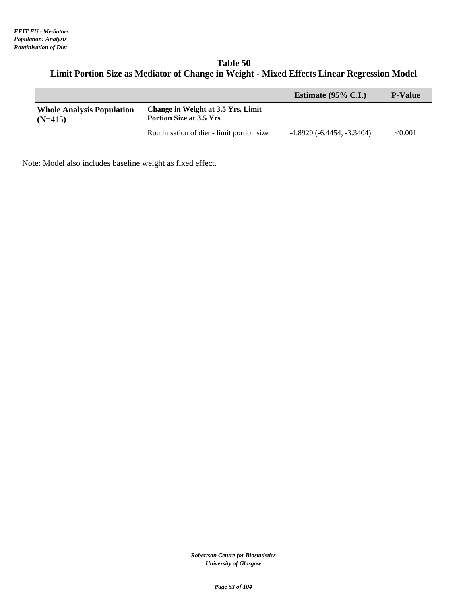#### **Table 50 Limit Portion Size as Mediator of Change in Weight - Mixed Effects Linear Regression Model**

|                                               |                                                                      | Estimate $(95\% \text{ C.I.})$ | <b>P-Value</b> |
|-----------------------------------------------|----------------------------------------------------------------------|--------------------------------|----------------|
| <b>Whole Analysis Population</b><br>$(N=415)$ | Change in Weight at 3.5 Yrs, Limit<br><b>Portion Size at 3.5 Yrs</b> |                                |                |
|                                               | Routinisation of diet - limit portion size                           | $-4.8929(-6.4454,-3.3404)$     | < 0.001        |

Note: Model also includes baseline weight as fixed effect.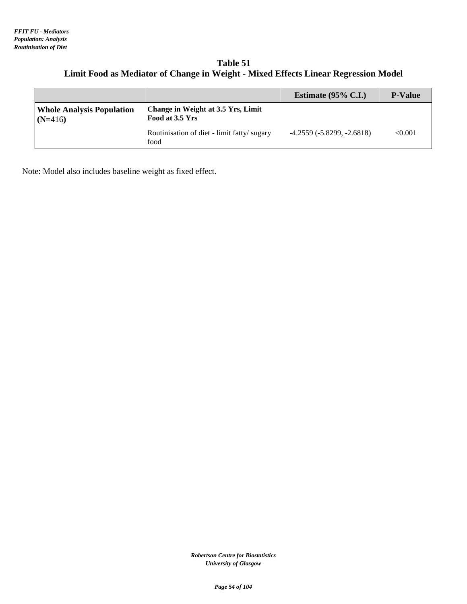| Table 51                                                                           |
|------------------------------------------------------------------------------------|
| Limit Food as Mediator of Change in Weight - Mixed Effects Linear Regression Model |

|                                               |                                                              | Estimate $(95\% \text{ C.I.})$ | <b>P-Value</b> |
|-----------------------------------------------|--------------------------------------------------------------|--------------------------------|----------------|
| <b>Whole Analysis Population</b><br>$(N=416)$ | <b>Change in Weight at 3.5 Yrs, Limit</b><br>Food at 3.5 Yrs |                                |                |
|                                               | Routinisation of diet - limit fatty/sugary<br>food           | $-4.2559(-5.8299, -2.6818)$    | < 0.001        |

Note: Model also includes baseline weight as fixed effect.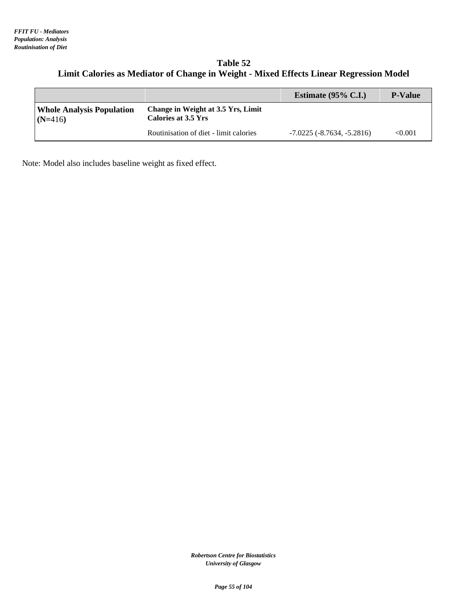#### **Table 52 Limit Calories as Mediator of Change in Weight - Mixed Effects Linear Regression Model**

|                                               |                                                                  | Estimate $(95\% \text{ C.I.})$      | <b>P-Value</b> |
|-----------------------------------------------|------------------------------------------------------------------|-------------------------------------|----------------|
| <b>Whole Analysis Population</b><br>$(N=416)$ | Change in Weight at 3.5 Yrs, Limit<br><b>Calories at 3.5 Yrs</b> |                                     |                |
|                                               | Routinisation of diet - limit calories                           | $-7.0225$ ( $-8.7634$ , $-5.2816$ ) | < 0.001        |

Note: Model also includes baseline weight as fixed effect.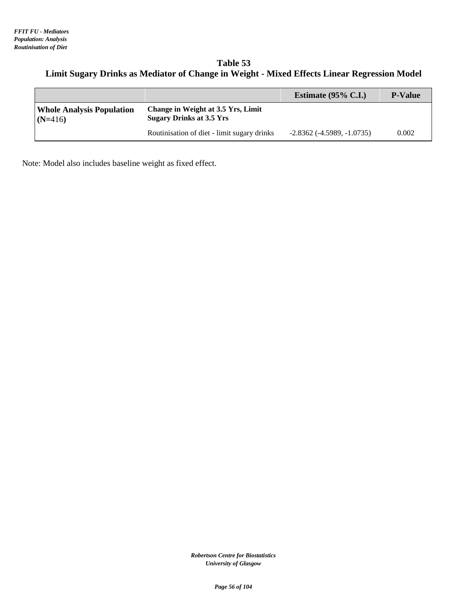#### **Table 53 Limit Sugary Drinks as Mediator of Change in Weight - Mixed Effects Linear Regression Model**

|                                               |                                                                       | Estimate $(95\% \text{ C.I.})$   | <b>P-Value</b> |
|-----------------------------------------------|-----------------------------------------------------------------------|----------------------------------|----------------|
| <b>Whole Analysis Population</b><br>$(N=416)$ | Change in Weight at 3.5 Yrs, Limit<br><b>Sugary Drinks at 3.5 Yrs</b> |                                  |                |
|                                               | Routinisation of diet - limit sugary drinks                           | $-2.8362$ ( $-4.5989, -1.0735$ ) | 0.002          |

Note: Model also includes baseline weight as fixed effect.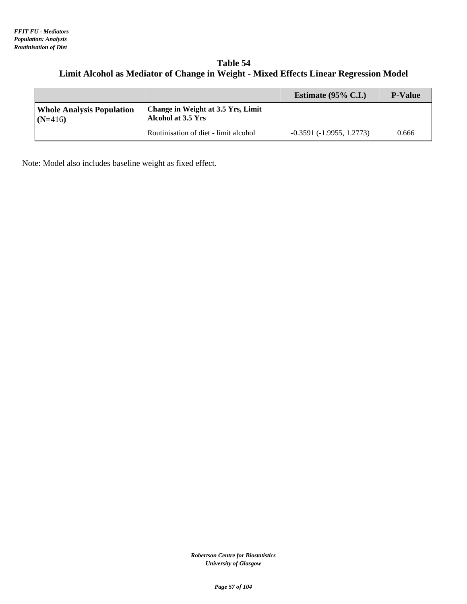#### **Table 54 Limit Alcohol as Mediator of Change in Weight - Mixed Effects Linear Regression Model**

|                                               |                                                          | Estimate $(95\% \text{ C.I.})$ | <b>P-Value</b> |
|-----------------------------------------------|----------------------------------------------------------|--------------------------------|----------------|
| <b>Whole Analysis Population</b><br>$(N=416)$ | Change in Weight at 3.5 Yrs, Limit<br>Alcohol at 3.5 Yrs |                                |                |
|                                               | Routinisation of diet - limit alcohol                    | $-0.3591(-1.9955, 1.2773)$     | 0.666          |

Note: Model also includes baseline weight as fixed effect.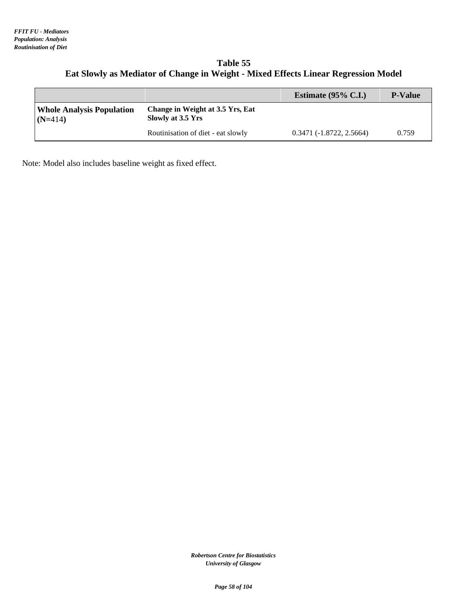#### **Table 55 Eat Slowly as Mediator of Change in Weight - Mixed Effects Linear Regression Model**

|                                               |                                                       | Estimate $(95\% \text{ C.I.})$ | <b>P-Value</b> |
|-----------------------------------------------|-------------------------------------------------------|--------------------------------|----------------|
| <b>Whole Analysis Population</b><br>$(N=414)$ | Change in Weight at 3.5 Yrs, Eat<br>Slowly at 3.5 Yrs |                                |                |
|                                               | Routinisation of diet - eat slowly                    | $0.3471(-1.8722, 2.5664)$      | 0.759          |

Note: Model also includes baseline weight as fixed effect.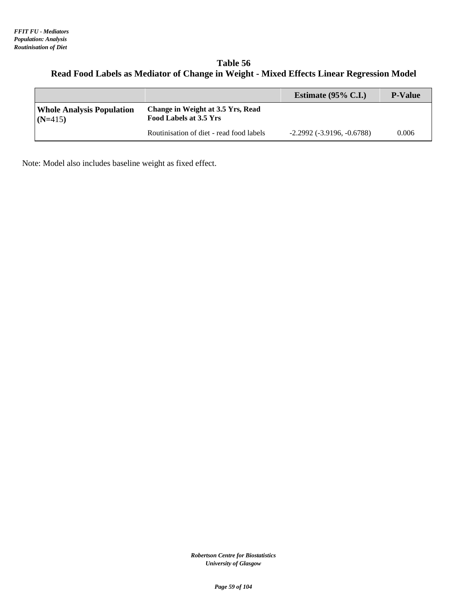#### **Table 56 Read Food Labels as Mediator of Change in Weight - Mixed Effects Linear Regression Model**

|                                               |                                                             | Estimate $(95\% \text{ C.I.})$      | <b>P-Value</b> |
|-----------------------------------------------|-------------------------------------------------------------|-------------------------------------|----------------|
| <b>Whole Analysis Population</b><br>$(N=415)$ | Change in Weight at 3.5 Yrs, Read<br>Food Labels at 3.5 Yrs |                                     |                |
|                                               | Routinisation of diet - read food labels                    | $-2.2992$ ( $-3.9196$ , $-0.6788$ ) | 0.006          |

Note: Model also includes baseline weight as fixed effect.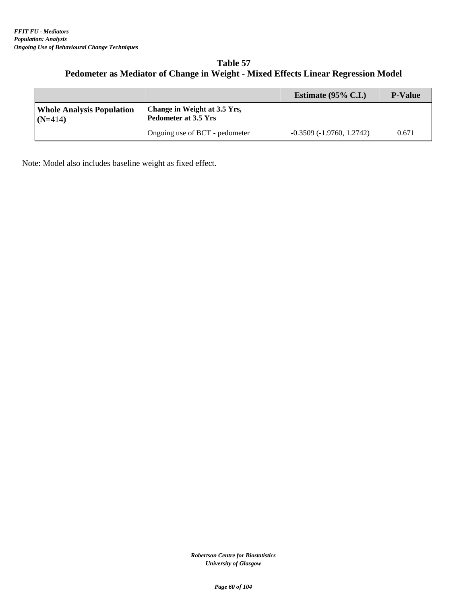# **Table 57 Pedometer as Mediator of Change in Weight - Mixed Effects Linear Regression Model**

|                                               |                                                      | Estimate $(95\% \text{ C.I.})$ | <b>P-Value</b> |
|-----------------------------------------------|------------------------------------------------------|--------------------------------|----------------|
| <b>Whole Analysis Population</b><br>$(N=414)$ | Change in Weight at 3.5 Yrs,<br>Pedometer at 3.5 Yrs |                                |                |
|                                               | Ongoing use of BCT - pedometer                       | $-0.3509(-1.9760, 1.2742)$     | 0.671          |

Note: Model also includes baseline weight as fixed effect.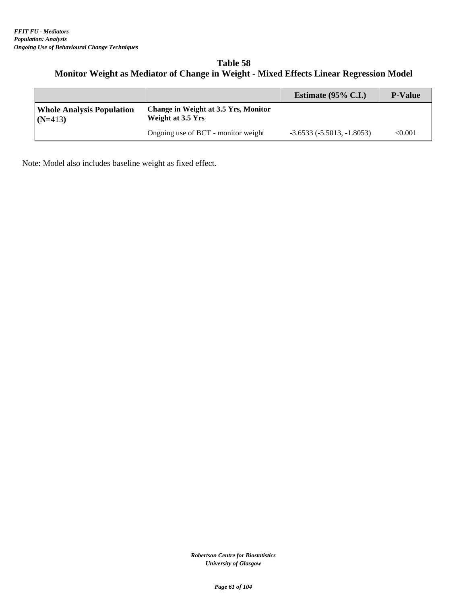# **Table 58 Monitor Weight as Mediator of Change in Weight - Mixed Effects Linear Regression Model**

|                                               |                                                           | Estimate $(95\% \text{ C.I.})$ | <b>P-Value</b> |
|-----------------------------------------------|-----------------------------------------------------------|--------------------------------|----------------|
| <b>Whole Analysis Population</b><br>$(N=413)$ | Change in Weight at 3.5 Yrs, Monitor<br>Weight at 3.5 Yrs |                                |                |
|                                               | Ongoing use of BCT - monitor weight                       | $-3.6533(-5.5013,-1.8053)$     | $<\!\!0.001$   |

Note: Model also includes baseline weight as fixed effect.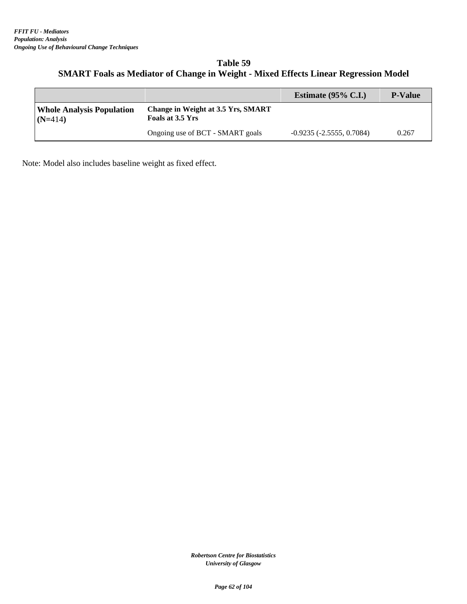# **Table 59 SMART Foals as Mediator of Change in Weight - Mixed Effects Linear Regression Model**

|                                               |                                                        | Estimate $(95\% \text{ C.L.})$ | <b>P-Value</b> |
|-----------------------------------------------|--------------------------------------------------------|--------------------------------|----------------|
| <b>Whole Analysis Population</b><br>$(N=414)$ | Change in Weight at 3.5 Yrs, SMART<br>Foals at 3.5 Yrs |                                |                |
|                                               | Ongoing use of BCT - SMART goals                       | $-0.9235(-2.5555, 0.7084)$     | 0.267          |

Note: Model also includes baseline weight as fixed effect.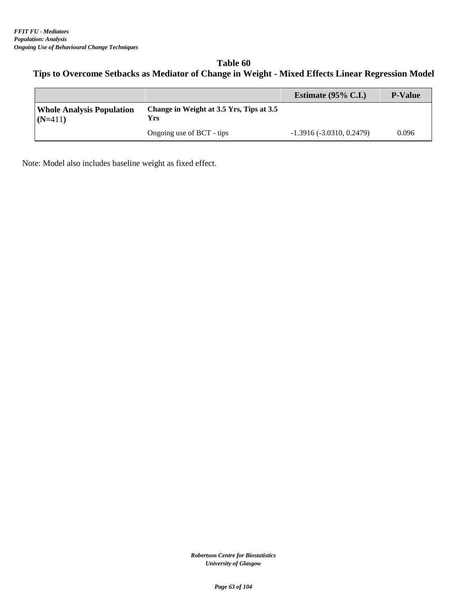# **Table 60 Tips to Overcome Setbacks as Mediator of Change in Weight - Mixed Effects Linear Regression Model**

|                                               |                                                 | Estimate $(95\% \text{ C.I.})$ | <b>P-Value</b> |
|-----------------------------------------------|-------------------------------------------------|--------------------------------|----------------|
| <b>Whole Analysis Population</b><br>$(N=411)$ | Change in Weight at 3.5 Yrs, Tips at 3.5<br>Yrs |                                |                |
|                                               | Ongoing use of BCT - tips                       | $-1.3916(-3.0310, 0.2479)$     | 0.096          |

Note: Model also includes baseline weight as fixed effect.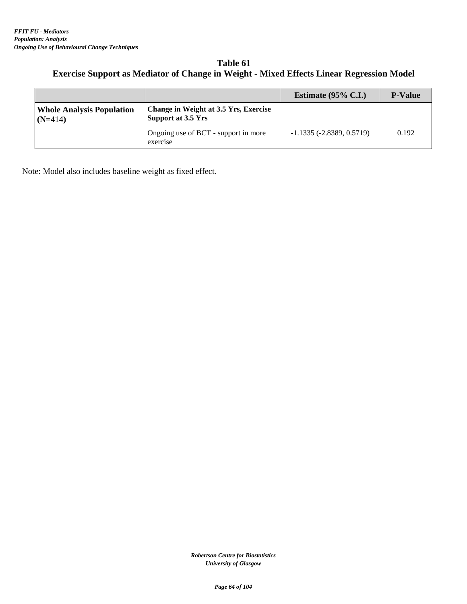| Table 61                                                                                        |
|-------------------------------------------------------------------------------------------------|
| <b>Exercise Support as Mediator of Change in Weight - Mixed Effects Linear Regression Model</b> |

|                                               |                                                             | Estimate $(95\% \text{ C.I.})$ | <b>P-Value</b> |
|-----------------------------------------------|-------------------------------------------------------------|--------------------------------|----------------|
| <b>Whole Analysis Population</b><br>$(N=414)$ | Change in Weight at 3.5 Yrs, Exercise<br>Support at 3.5 Yrs |                                |                |
|                                               | Ongoing use of BCT - support in more<br>exercise            | $-1.1335(-2.8389, 0.5719)$     | 0.192          |

Note: Model also includes baseline weight as fixed effect.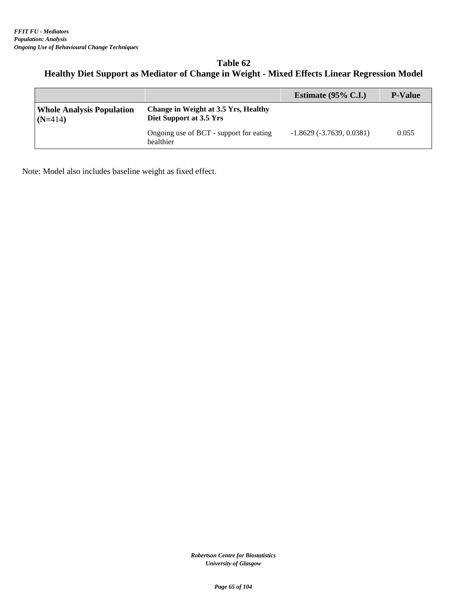# **Table 62 Healthy Diet Support as Mediator of Change in Weight - Mixed Effects Linear Regression Model**

|                                               |                                                                 | Estimate $(95\% \text{ C.I.})$ | <b>P-Value</b> |
|-----------------------------------------------|-----------------------------------------------------------------|--------------------------------|----------------|
| <b>Whole Analysis Population</b><br>$(N=414)$ | Change in Weight at 3.5 Yrs, Healthy<br>Diet Support at 3.5 Yrs |                                |                |
|                                               | Ongoing use of BCT - support for eating<br>healthier            | $-1.8629(-3.7639, 0.0381)$     | 0.055          |

Note: Model also includes baseline weight as fixed effect.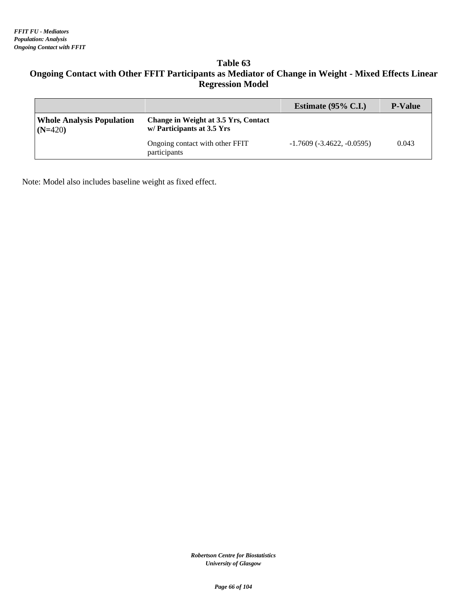# **Table 63 Ongoing Contact with Other FFIT Participants as Mediator of Change in Weight - Mixed Effects Linear Regression Model**

|                                               |                                                                   | Estimate $(95\% \text{ C.I.})$      | <b>P-Value</b> |
|-----------------------------------------------|-------------------------------------------------------------------|-------------------------------------|----------------|
| <b>Whole Analysis Population</b><br>$(N=420)$ | Change in Weight at 3.5 Yrs, Contact<br>w/Participants at 3.5 Yrs |                                     |                |
|                                               | Ongoing contact with other FFIT<br>participants                   | $-1.7609$ ( $-3.4622$ , $-0.0595$ ) | 0.043          |

Note: Model also includes baseline weight as fixed effect.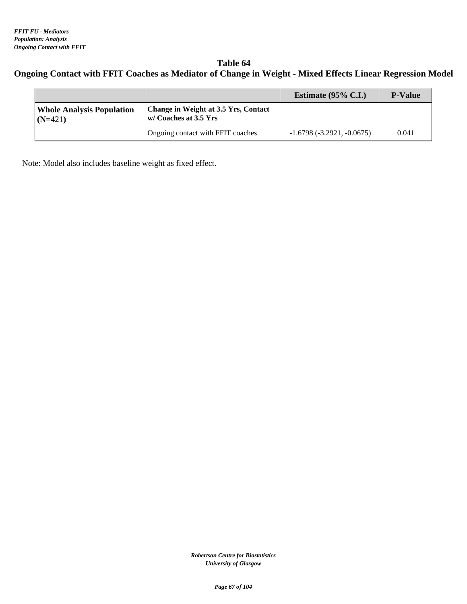# **Table 64 Ongoing Contact with FFIT Coaches as Mediator of Change in Weight - Mixed Effects Linear Regression Model**

|                                               |                                                               | Estimate $(95\% \text{ C.I.})$ | <b>P-Value</b> |
|-----------------------------------------------|---------------------------------------------------------------|--------------------------------|----------------|
| <b>Whole Analysis Population</b><br>$(N=421)$ | Change in Weight at 3.5 Yrs, Contact<br>w/ Coaches at 3.5 Yrs |                                |                |
|                                               | Ongoing contact with FFIT coaches                             | $-1.6798(-3.2921, -0.0675)$    | 0.041          |

Note: Model also includes baseline weight as fixed effect.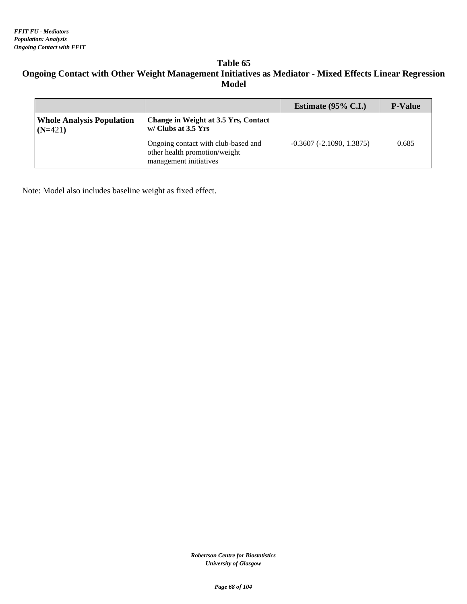#### **Table 65 Ongoing Contact with Other Weight Management Initiatives as Mediator - Mixed Effects Linear Regression Model**

|                                               |                                                                                                | Estimate $(95\% \text{ C.I.})$ | <b>P-Value</b> |
|-----------------------------------------------|------------------------------------------------------------------------------------------------|--------------------------------|----------------|
| <b>Whole Analysis Population</b><br>$(N=421)$ | Change in Weight at 3.5 Yrs, Contact<br>$w/Clubs$ at 3.5 Yrs                                   |                                |                |
|                                               | Ongoing contact with club-based and<br>other health promotion/weight<br>management initiatives | $-0.3607(-2.1090, 1.3875)$     | 0.685          |

Note: Model also includes baseline weight as fixed effect.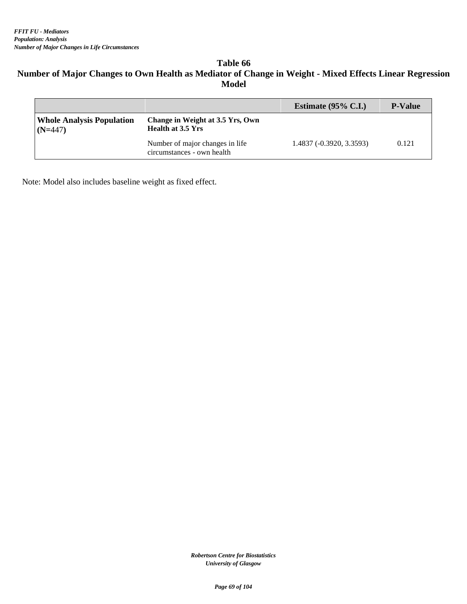#### **Table 66 Number of Major Changes to Own Health as Mediator of Change in Weight - Mixed Effects Linear Regression Model**

|                                               |                                                               | Estimate $(95\% \text{ C.I.})$ | <b>P-Value</b> |
|-----------------------------------------------|---------------------------------------------------------------|--------------------------------|----------------|
| <b>Whole Analysis Population</b><br>$(N=447)$ | Change in Weight at 3.5 Yrs, Own<br><b>Health at 3.5 Yrs</b>  |                                |                |
|                                               | Number of major changes in life<br>circumstances - own health | 1.4837 (-0.3920, 3.3593)       | 0.121          |

Note: Model also includes baseline weight as fixed effect.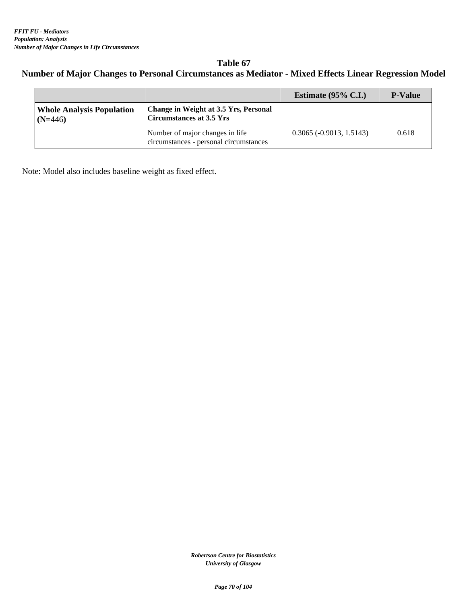#### **Table 67 Number of Major Changes to Personal Circumstances as Mediator - Mixed Effects Linear Regression Model**

|                                               |                                                                           | Estimate $(95\% \text{ C.I.})$    | <b>P-Value</b> |
|-----------------------------------------------|---------------------------------------------------------------------------|-----------------------------------|----------------|
| <b>Whole Analysis Population</b><br>$(N=446)$ | Change in Weight at 3.5 Yrs, Personal<br>Circumstances at 3.5 Yrs         |                                   |                |
|                                               | Number of major changes in life<br>circumstances - personal circumstances | $0.3065$ ( $-0.9013$ , $1.5143$ ) | 0.618          |

Note: Model also includes baseline weight as fixed effect.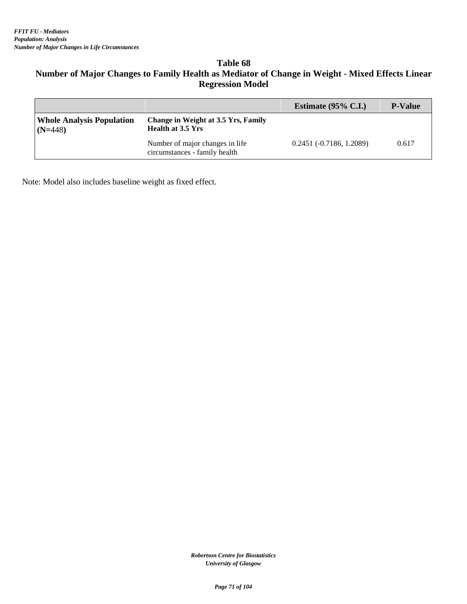#### **Table 68**

# **Number of Major Changes to Family Health as Mediator of Change in Weight - Mixed Effects Linear Regression Model**

|                                               |                                                                        | Estimate $(95\% \text{ C.I.})$ | <b>P-Value</b> |
|-----------------------------------------------|------------------------------------------------------------------------|--------------------------------|----------------|
| <b>Whole Analysis Population</b><br>$(N=448)$ | <b>Change in Weight at 3.5 Yrs, Family</b><br><b>Health at 3.5 Yrs</b> |                                |                |
|                                               | Number of major changes in life<br>circumstances - family health       | $0.2451(-0.7186, 1.2089)$      | 0.617          |

Note: Model also includes baseline weight as fixed effect.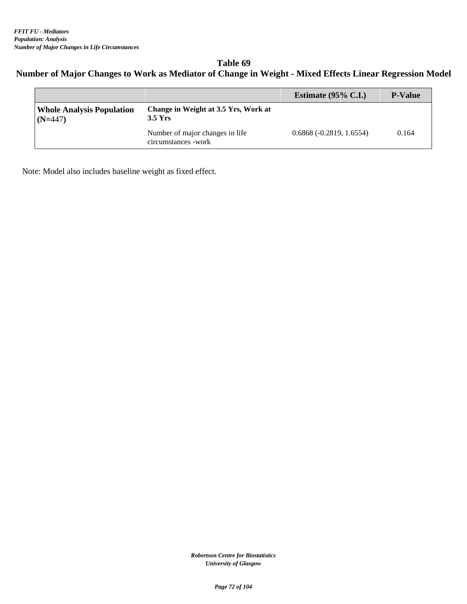# **Table 69 Number of Major Changes to Work as Mediator of Change in Weight - Mixed Effects Linear Regression Model**

|                                               |                                                         | Estimate $(95\% \text{ C.I.})$ | <b>P-Value</b> |
|-----------------------------------------------|---------------------------------------------------------|--------------------------------|----------------|
| <b>Whole Analysis Population</b><br>$(N=447)$ | Change in Weight at 3.5 Yrs, Work at<br>$3.5$ Yrs       |                                |                |
|                                               | Number of major changes in life<br>circumstances - work | $0.6868(-0.2819, 1.6554)$      | 0.164          |

Note: Model also includes baseline weight as fixed effect.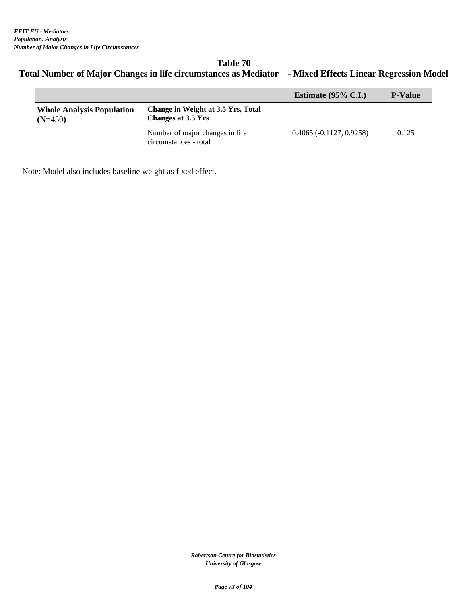# **Table 70 Total Number of Major Changes in life circumstances as Mediator - Mixed Effects Linear Regression Model**

|                                               |                                                          | Estimate $(95\% \text{ C.I.})$ | <b>P-Value</b> |
|-----------------------------------------------|----------------------------------------------------------|--------------------------------|----------------|
| <b>Whole Analysis Population</b><br>$(N=450)$ | Change in Weight at 3.5 Yrs, Total<br>Changes at 3.5 Yrs |                                |                |
|                                               | Number of major changes in life<br>circumstances - total | $0.4065(-0.1127, 0.9258)$      | 0.125          |

Note: Model also includes baseline weight as fixed effect.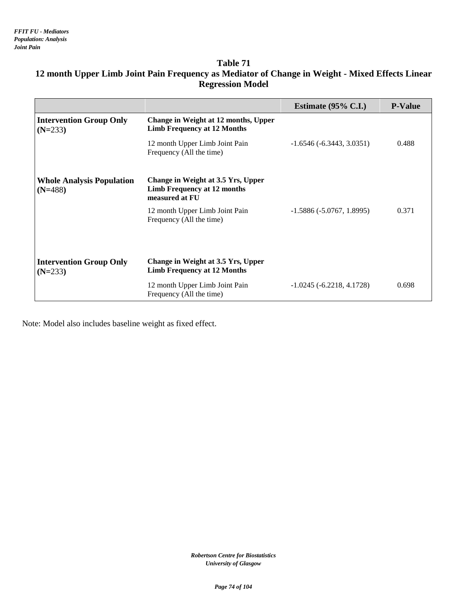|                                               |                                                                                     | Estimate $(95\% \text{ C.I.})$ | <b>P-Value</b> |
|-----------------------------------------------|-------------------------------------------------------------------------------------|--------------------------------|----------------|
| <b>Intervention Group Only</b><br>$(N=233)$   | Change in Weight at 12 months, Upper<br><b>Limb Frequency at 12 Months</b>          |                                |                |
|                                               | 12 month Upper Limb Joint Pain<br>Frequency (All the time)                          | $-1.6546(-6.3443, 3.0351)$     | 0.488          |
| <b>Whole Analysis Population</b><br>$(N=488)$ | Change in Weight at 3.5 Yrs, Upper<br>Limb Frequency at 12 months<br>measured at FU |                                |                |
|                                               | 12 month Upper Limb Joint Pain<br>Frequency (All the time)                          | $-1.5886(-5.0767, 1.8995)$     | 0.371          |
|                                               |                                                                                     |                                |                |
| <b>Intervention Group Only</b><br>$(N=233)$   | Change in Weight at 3.5 Yrs, Upper<br><b>Limb Frequency at 12 Months</b>            |                                |                |
|                                               | 12 month Upper Limb Joint Pain<br>Frequency (All the time)                          | $-1.0245(-6.2218, 4.1728)$     | 0.698          |

# **12 month Upper Limb Joint Pain Frequency as Mediator of Change in Weight - Mixed Effects Linear Regression Model**

Note: Model also includes baseline weight as fixed effect.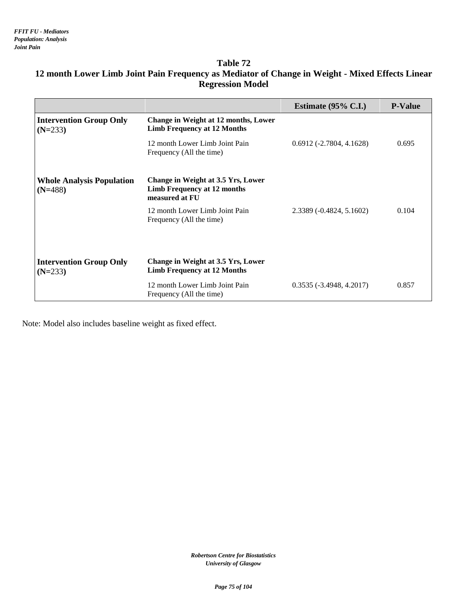|                                               |                                                                                     | Estimate $(95\% \text{ C.I.})$ | <b>P-Value</b> |
|-----------------------------------------------|-------------------------------------------------------------------------------------|--------------------------------|----------------|
| <b>Intervention Group Only</b><br>$(N=233)$   | Change in Weight at 12 months, Lower<br><b>Limb Frequency at 12 Months</b>          |                                |                |
|                                               | 12 month Lower Limb Joint Pain<br>Frequency (All the time)                          | $0.6912(-2.7804, 4.1628)$      | 0.695          |
| <b>Whole Analysis Population</b><br>$(N=488)$ | Change in Weight at 3.5 Yrs, Lower<br>Limb Frequency at 12 months<br>measured at FU |                                |                |
|                                               | 12 month Lower Limb Joint Pain<br>Frequency (All the time)                          | 2.3389 (-0.4824, 5.1602)       | 0.104          |
| <b>Intervention Group Only</b><br>$(N=233)$   | Change in Weight at 3.5 Yrs, Lower<br><b>Limb Frequency at 12 Months</b>            |                                |                |
|                                               | 12 month Lower Limb Joint Pain<br>Frequency (All the time)                          | $0.3535(-3.4948, 4.2017)$      | 0.857          |

# **12 month Lower Limb Joint Pain Frequency as Mediator of Change in Weight - Mixed Effects Linear Regression Model**

Note: Model also includes baseline weight as fixed effect.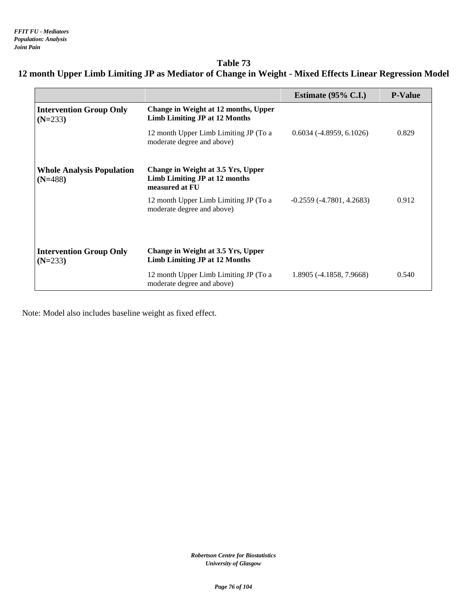# **Table 73 12 month Upper Limb Limiting JP as Mediator of Change in Weight - Mixed Effects Linear Regression Model**

|                                               |                                                                                       | Estimate $(95\% \text{ C.I.})$ | <b>P-Value</b> |
|-----------------------------------------------|---------------------------------------------------------------------------------------|--------------------------------|----------------|
| <b>Intervention Group Only</b><br>$(N=233)$   | Change in Weight at 12 months, Upper<br><b>Limb Limiting JP at 12 Months</b>          |                                |                |
|                                               | 12 month Upper Limb Limiting JP (To a<br>moderate degree and above)                   | $0.6034(-4.8959, 6.1026)$      | 0.829          |
| <b>Whole Analysis Population</b><br>$(N=488)$ | Change in Weight at 3.5 Yrs, Upper<br>Limb Limiting JP at 12 months<br>measured at FU |                                |                |
|                                               | 12 month Upper Limb Limiting JP (To a<br>moderate degree and above)                   | $-0.2559(-4.7801, 4.2683)$     | 0.912          |
|                                               |                                                                                       |                                |                |
| <b>Intervention Group Only</b><br>$(N=233)$   | Change in Weight at 3.5 Yrs, Upper<br><b>Limb Limiting JP at 12 Months</b>            |                                |                |
|                                               | 12 month Upper Limb Limiting JP (To a<br>moderate degree and above)                   | 1.8905 (-4.1858, 7.9668)       | 0.540          |

Note: Model also includes baseline weight as fixed effect.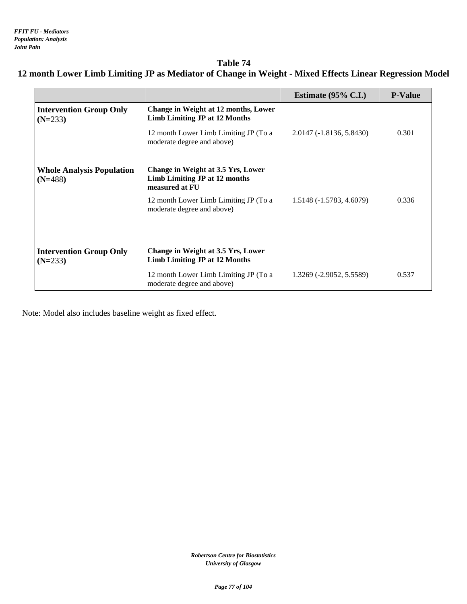# **Table 74 12 month Lower Limb Limiting JP as Mediator of Change in Weight - Mixed Effects Linear Regression Model**

|                                               |                                                                                       | Estimate $(95\% \text{ C.I.})$ | <b>P-Value</b> |
|-----------------------------------------------|---------------------------------------------------------------------------------------|--------------------------------|----------------|
| <b>Intervention Group Only</b><br>$(N=233)$   | Change in Weight at 12 months, Lower<br><b>Limb Limiting JP at 12 Months</b>          |                                |                |
|                                               | 12 month Lower Limb Limiting JP (To a<br>moderate degree and above)                   | 2.0147 (-1.8136, 5.8430)       | 0.301          |
| <b>Whole Analysis Population</b><br>$(N=488)$ | Change in Weight at 3.5 Yrs, Lower<br>Limb Limiting JP at 12 months<br>measured at FU |                                |                |
|                                               | 12 month Lower Limb Limiting JP (To a<br>moderate degree and above)                   | 1.5148 (-1.5783, 4.6079)       | 0.336          |
|                                               |                                                                                       |                                |                |
| <b>Intervention Group Only</b><br>$(N=233)$   | Change in Weight at 3.5 Yrs, Lower<br><b>Limb Limiting JP at 12 Months</b>            |                                |                |
|                                               | 12 month Lower Limb Limiting JP (To a<br>moderate degree and above)                   | 1.3269 (-2.9052, 5.5589)       | 0.537          |

Note: Model also includes baseline weight as fixed effect.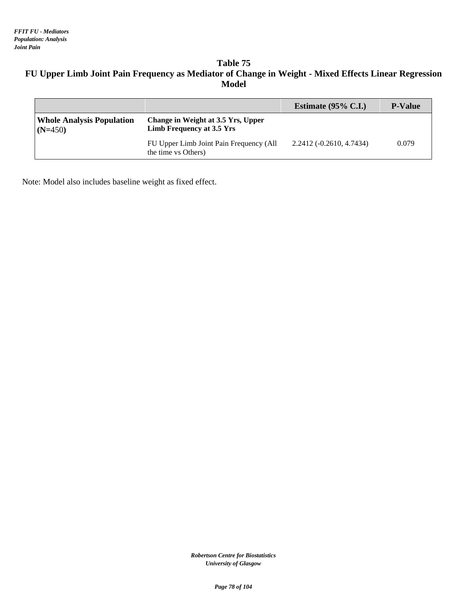# **Table 75 FU Upper Limb Joint Pain Frequency as Mediator of Change in Weight - Mixed Effects Linear Regression Model**

|                                               |                                                                 | Estimate $(95\% \text{ C.I.})$ | <b>P-Value</b> |
|-----------------------------------------------|-----------------------------------------------------------------|--------------------------------|----------------|
| <b>Whole Analysis Population</b><br>$(N=450)$ | Change in Weight at 3.5 Yrs, Upper<br>Limb Frequency at 3.5 Yrs |                                |                |
|                                               | FU Upper Limb Joint Pain Frequency (All<br>the time vs Others)  | $2.2412(-0.2610, 4.7434)$      | 0.079          |

Note: Model also includes baseline weight as fixed effect.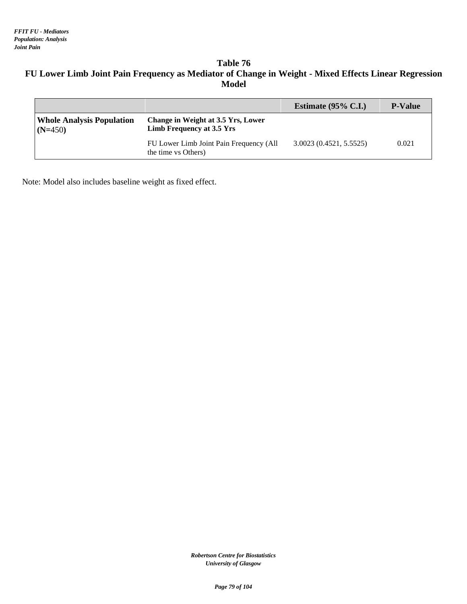# **Table 76 FU Lower Limb Joint Pain Frequency as Mediator of Change in Weight - Mixed Effects Linear Regression Model**

|                                               |                                                                 | Estimate $(95\% \text{ C.I.})$ | <b>P-Value</b> |
|-----------------------------------------------|-----------------------------------------------------------------|--------------------------------|----------------|
| <b>Whole Analysis Population</b><br>$(N=450)$ | Change in Weight at 3.5 Yrs, Lower<br>Limb Frequency at 3.5 Yrs |                                |                |
|                                               | FU Lower Limb Joint Pain Frequency (All<br>the time vs Others)  | 3.0023(0.4521, 5.5525)         | 0.021          |

Note: Model also includes baseline weight as fixed effect.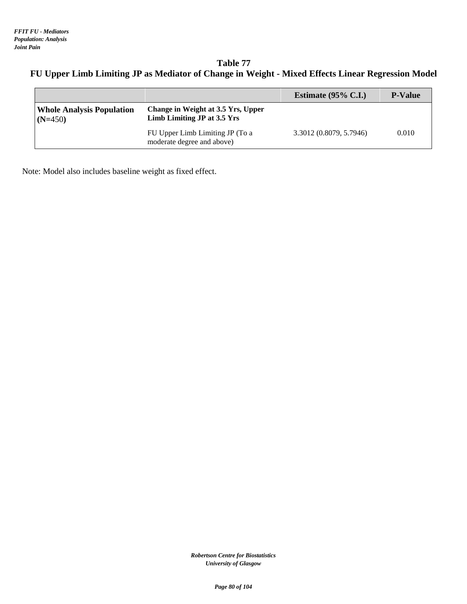**Table 77 FU Upper Limb Limiting JP as Mediator of Change in Weight - Mixed Effects Linear Regression Model**

|                                               |                                                                   | Estimate $(95\% \text{ C.I.})$ | <b>P-Value</b> |
|-----------------------------------------------|-------------------------------------------------------------------|--------------------------------|----------------|
| <b>Whole Analysis Population</b><br>$(N=450)$ | Change in Weight at 3.5 Yrs, Upper<br>Limb Limiting JP at 3.5 Yrs |                                |                |
|                                               | FU Upper Limb Limiting JP (To a<br>moderate degree and above)     | 3.3012 (0.8079, 5.7946)        | 0.010          |

Note: Model also includes baseline weight as fixed effect.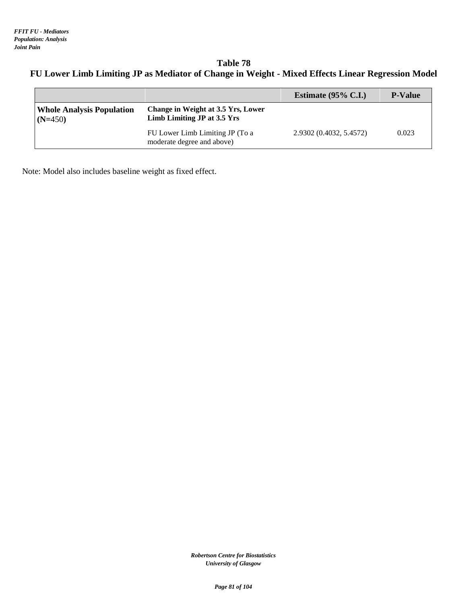**Table 78 FU Lower Limb Limiting JP as Mediator of Change in Weight - Mixed Effects Linear Regression Model**

|                                               |                                                                   | Estimate $(95\% \text{ C.I.})$ | <b>P-Value</b> |
|-----------------------------------------------|-------------------------------------------------------------------|--------------------------------|----------------|
| <b>Whole Analysis Population</b><br>$(N=450)$ | Change in Weight at 3.5 Yrs, Lower<br>Limb Limiting JP at 3.5 Yrs |                                |                |
|                                               | FU Lower Limb Limiting JP (To a<br>moderate degree and above)     | 2.9302 (0.4032, 5.4572)        | 0.023          |

Note: Model also includes baseline weight as fixed effect.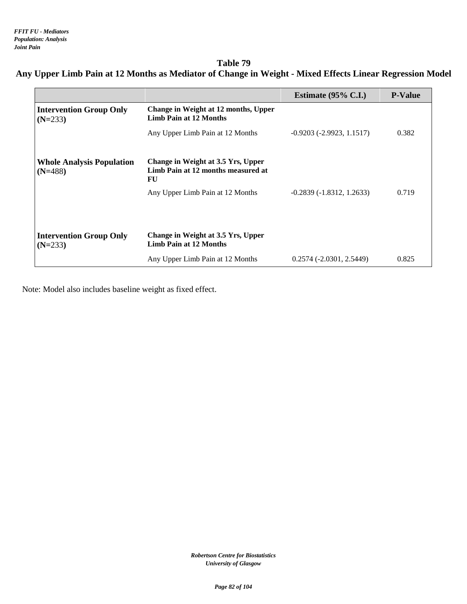**Table 79 Any Upper Limb Pain at 12 Months as Mediator of Change in Weight - Mixed Effects Linear Regression Model**

|                                               |                                                                                | Estimate $(95\% \text{ C.I.})$  | <b>P-Value</b> |
|-----------------------------------------------|--------------------------------------------------------------------------------|---------------------------------|----------------|
| <b>Intervention Group Only</b><br>$(N=233)$   | Change in Weight at 12 months, Upper<br><b>Limb Pain at 12 Months</b>          |                                 |                |
|                                               | Any Upper Limb Pain at 12 Months                                               | $-0.9203$ ( $-2.9923$ , 1.1517) | 0.382          |
| <b>Whole Analysis Population</b><br>$(N=488)$ | Change in Weight at 3.5 Yrs, Upper<br>Limb Pain at 12 months measured at<br>FU |                                 |                |
|                                               | Any Upper Limb Pain at 12 Months                                               | $-0.2839(-1.8312, 1.2633)$      | 0.719          |
|                                               |                                                                                |                                 |                |
| <b>Intervention Group Only</b><br>$(N=233)$   | Change in Weight at 3.5 Yrs, Upper<br><b>Limb Pain at 12 Months</b>            |                                 |                |
|                                               | Any Upper Limb Pain at 12 Months                                               | $0.2574(-2.0301, 2.5449)$       | 0.825          |

Note: Model also includes baseline weight as fixed effect.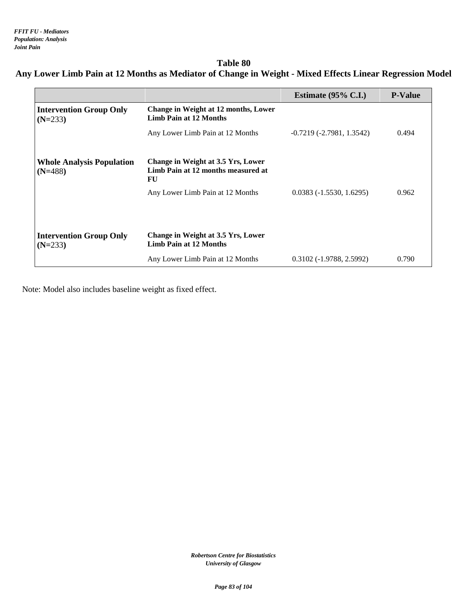# **Table 80 Any Lower Limb Pain at 12 Months as Mediator of Change in Weight - Mixed Effects Linear Regression Model**

|                                               |                                                                                | Estimate $(95\% \text{ C.I.})$ | <b>P-Value</b> |
|-----------------------------------------------|--------------------------------------------------------------------------------|--------------------------------|----------------|
| <b>Intervention Group Only</b><br>$(N=233)$   | <b>Change in Weight at 12 months, Lower</b><br><b>Limb Pain at 12 Months</b>   |                                |                |
|                                               | Any Lower Limb Pain at 12 Months                                               | $-0.7219(-2.7981, 1.3542)$     | 0.494          |
| <b>Whole Analysis Population</b><br>$(N=488)$ | Change in Weight at 3.5 Yrs, Lower<br>Limb Pain at 12 months measured at<br>FU |                                |                |
|                                               | Any Lower Limb Pain at 12 Months                                               | $0.0383(-1.5530, 1.6295)$      | 0.962          |
|                                               |                                                                                |                                |                |
| <b>Intervention Group Only</b><br>$(N=233)$   | Change in Weight at 3.5 Yrs, Lower<br><b>Limb Pain at 12 Months</b>            |                                |                |
|                                               | Any Lower Limb Pain at 12 Months                                               | $0.3102(-1.9788, 2.5992)$      | 0.790          |

Note: Model also includes baseline weight as fixed effect.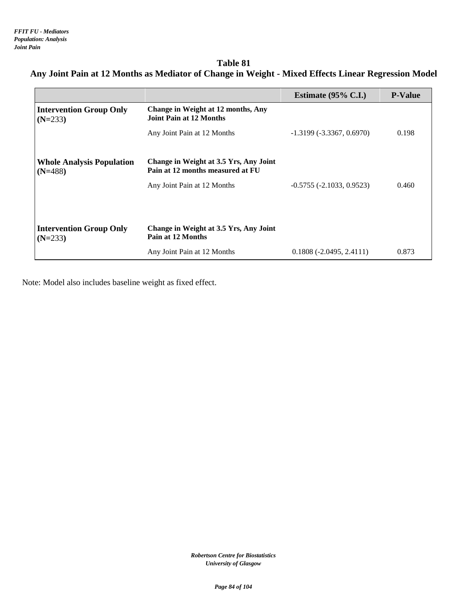### **Table 81 Any Joint Pain at 12 Months as Mediator of Change in Weight - Mixed Effects Linear Regression Model**

|                                               |                                                                            | Estimate $(95\% \text{ C.L.})$ | <b>P-Value</b> |
|-----------------------------------------------|----------------------------------------------------------------------------|--------------------------------|----------------|
| <b>Intervention Group Only</b><br>$(N=233)$   | Change in Weight at 12 months, Any<br>Joint Pain at 12 Months              |                                |                |
|                                               | Any Joint Pain at 12 Months                                                | $-1.3199(-3.3367, 0.6970)$     | 0.198          |
| <b>Whole Analysis Population</b><br>$(N=488)$ | Change in Weight at 3.5 Yrs, Any Joint<br>Pain at 12 months measured at FU |                                |                |
|                                               | Any Joint Pain at 12 Months                                                | $-0.5755(-2.1033, 0.9523)$     | 0.460          |
|                                               |                                                                            |                                |                |
| <b>Intervention Group Only</b><br>$(N=233)$   | Change in Weight at 3.5 Yrs, Any Joint<br>Pain at 12 Months                |                                |                |
|                                               | Any Joint Pain at 12 Months                                                | $0.1808(-2.0495, 2.4111)$      | 0.873          |

Note: Model also includes baseline weight as fixed effect.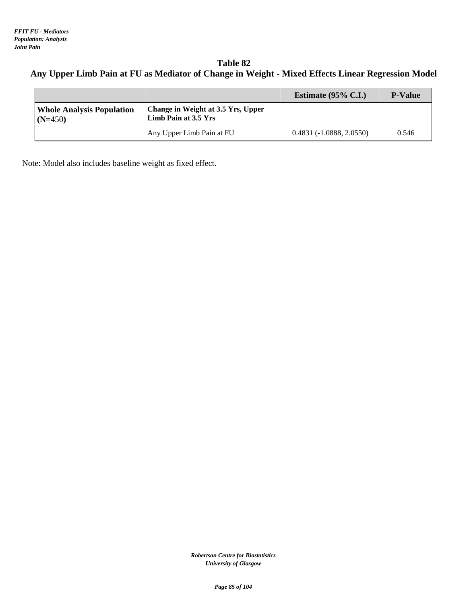**Table 82 Any Upper Limb Pain at FU as Mediator of Change in Weight - Mixed Effects Linear Regression Model**

|                                               |                                                            | Estimate $(95\% \text{ C.I.})$ | <b>P-Value</b> |
|-----------------------------------------------|------------------------------------------------------------|--------------------------------|----------------|
| <b>Whole Analysis Population</b><br>$(N=450)$ | Change in Weight at 3.5 Yrs, Upper<br>Limb Pain at 3.5 Yrs |                                |                |
|                                               | Any Upper Limb Pain at FU                                  | $0.4831(-1.0888, 2.0550)$      | 0.546          |

Note: Model also includes baseline weight as fixed effect.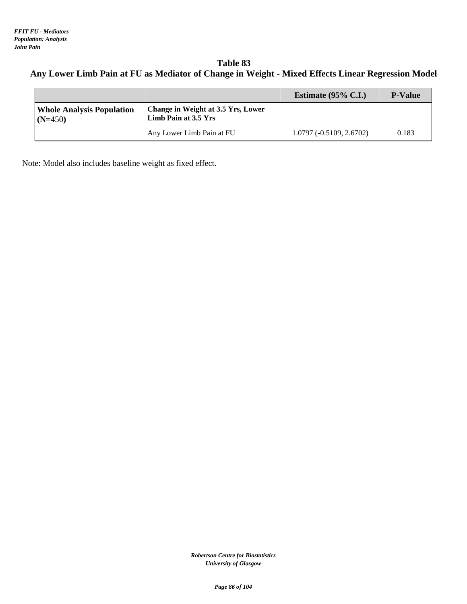**Table 83 Any Lower Limb Pain at FU as Mediator of Change in Weight - Mixed Effects Linear Regression Model**

|                                               |                                                            | Estimate $(95\% \text{ C.I.})$ | <b>P-Value</b> |
|-----------------------------------------------|------------------------------------------------------------|--------------------------------|----------------|
| <b>Whole Analysis Population</b><br>$(N=450)$ | Change in Weight at 3.5 Yrs, Lower<br>Limb Pain at 3.5 Yrs |                                |                |
|                                               | Any Lower Limb Pain at FU                                  | $1.0797(-0.5109, 2.6702)$      | 0.183          |

Note: Model also includes baseline weight as fixed effect.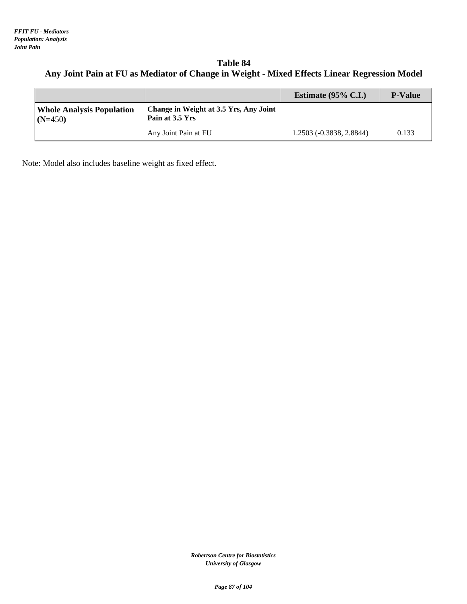### **Table 84 Any Joint Pain at FU as Mediator of Change in Weight - Mixed Effects Linear Regression Model**

|                                               |                                                           | Estimate $(95\% \text{ C.I.})$ | <b>P-Value</b> |
|-----------------------------------------------|-----------------------------------------------------------|--------------------------------|----------------|
| <b>Whole Analysis Population</b><br>$(N=450)$ | Change in Weight at 3.5 Yrs, Any Joint<br>Pain at 3.5 Yrs |                                |                |
|                                               | Any Joint Pain at FU                                      | 1.2503 (-0.3838, 2.8844)       | 0.133          |

Note: Model also includes baseline weight as fixed effect.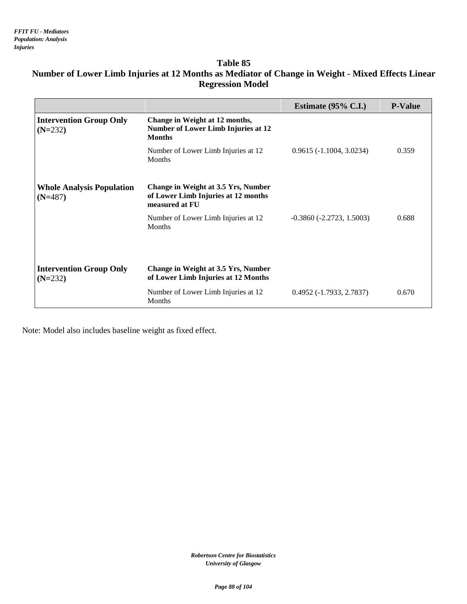# **Number of Lower Limb Injuries at 12 Months as Mediator of Change in Weight - Mixed Effects Linear Regression Model**

|                                               |                                                                                                     | Estimate $(95\% \text{ C.I.})$ | <b>P-Value</b> |
|-----------------------------------------------|-----------------------------------------------------------------------------------------------------|--------------------------------|----------------|
| <b>Intervention Group Only</b><br>$(N=232)$   | Change in Weight at 12 months,<br><b>Number of Lower Limb Injuries at 12</b><br><b>Months</b>       |                                |                |
|                                               | Number of Lower Limb Injuries at 12<br><b>Months</b>                                                | $0.9615(-1.1004, 3.0234)$      | 0.359          |
| <b>Whole Analysis Population</b><br>$(N=487)$ | <b>Change in Weight at 3.5 Yrs, Number</b><br>of Lower Limb Injuries at 12 months<br>measured at FU |                                |                |
|                                               | Number of Lower Limb Injuries at 12<br><b>Months</b>                                                | $-0.3860(-2.2723, 1.5003)$     | 0.688          |
| <b>Intervention Group Only</b><br>$(N=232)$   | Change in Weight at 3.5 Yrs, Number<br>of Lower Limb Injuries at 12 Months                          |                                |                |
|                                               | Number of Lower Limb Injuries at 12<br>Months                                                       | $0.4952(-1.7933, 2.7837)$      | 0.670          |

Note: Model also includes baseline weight as fixed effect.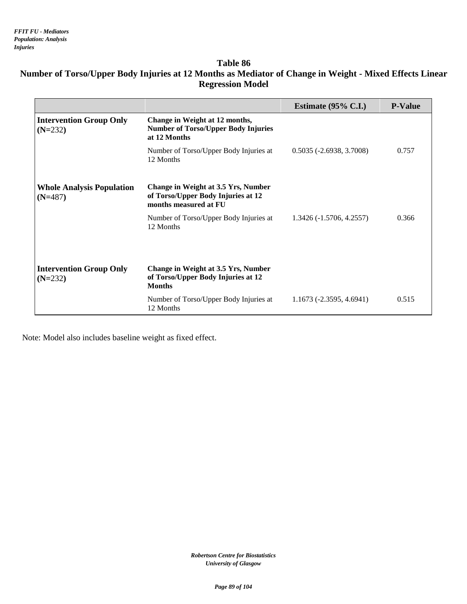# **Number of Torso/Upper Body Injuries at 12 Months as Mediator of Change in Weight - Mixed Effects Linear Regression Model**

|                                               |                                                                                                    | Estimate $(95\% \text{ C.I.})$ | <b>P-Value</b> |
|-----------------------------------------------|----------------------------------------------------------------------------------------------------|--------------------------------|----------------|
| <b>Intervention Group Only</b><br>$(N=232)$   | Change in Weight at 12 months,<br><b>Number of Torso/Upper Body Injuries</b><br>at 12 Months       |                                |                |
|                                               | Number of Torso/Upper Body Injuries at<br>12 Months                                                | $0.5035 (-2.6938, 3.7008)$     | 0.757          |
| <b>Whole Analysis Population</b><br>$(N=487)$ | Change in Weight at 3.5 Yrs, Number<br>of Torso/Upper Body Injuries at 12<br>months measured at FU |                                |                |
|                                               | Number of Torso/Upper Body Injuries at<br>12 Months                                                | 1.3426 (-1.5706, 4.2557)       | 0.366          |
| <b>Intervention Group Only</b><br>$(N=232)$   | Change in Weight at 3.5 Yrs, Number<br>of Torso/Upper Body Injuries at 12<br><b>Months</b>         |                                |                |
|                                               | Number of Torso/Upper Body Injuries at<br>12 Months                                                | $1.1673(-2.3595, 4.6941)$      | 0.515          |

Note: Model also includes baseline weight as fixed effect.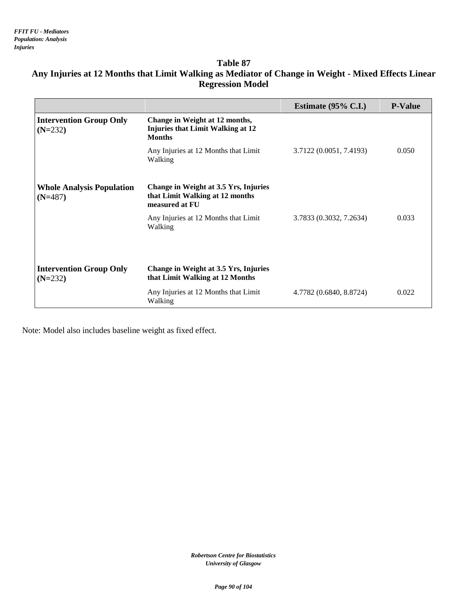|                                               |                                                                                             | Estimate $(95\% \text{ C.I.})$ | <b>P-Value</b> |
|-----------------------------------------------|---------------------------------------------------------------------------------------------|--------------------------------|----------------|
| <b>Intervention Group Only</b><br>$(N=232)$   | Change in Weight at 12 months,<br><b>Injuries that Limit Walking at 12</b><br><b>Months</b> |                                |                |
|                                               | Any Injuries at 12 Months that Limit<br>Walking                                             | 3.7122 (0.0051, 7.4193)        | 0.050          |
| <b>Whole Analysis Population</b><br>$(N=487)$ | Change in Weight at 3.5 Yrs, Injuries<br>that Limit Walking at 12 months<br>measured at FU  |                                |                |
|                                               | Any Injuries at 12 Months that Limit<br>Walking                                             | 3.7833 (0.3032, 7.2634)        | 0.033          |
|                                               | Change in Weight at 3.5 Yrs, Injuries                                                       |                                |                |
| <b>Intervention Group Only</b><br>$(N=232)$   | that Limit Walking at 12 Months                                                             |                                |                |
|                                               | Any Injuries at 12 Months that Limit<br>Walking                                             | 4.7782 (0.6840, 8.8724)        | 0.022          |

# **Any Injuries at 12 Months that Limit Walking as Mediator of Change in Weight - Mixed Effects Linear Regression Model**

Note: Model also includes baseline weight as fixed effect.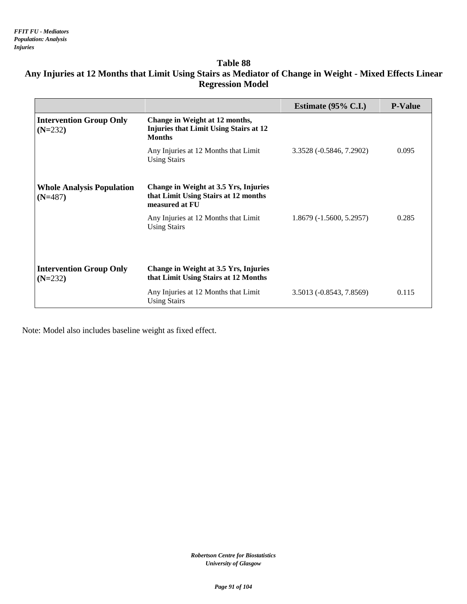# **Any Injuries at 12 Months that Limit Using Stairs as Mediator of Change in Weight - Mixed Effects Linear Regression Model**

|                                               |                                                                                                  | Estimate $(95\% \text{ C.I.})$ | <b>P-Value</b> |
|-----------------------------------------------|--------------------------------------------------------------------------------------------------|--------------------------------|----------------|
| <b>Intervention Group Only</b><br>$(N=232)$   | Change in Weight at 12 months,<br><b>Injuries that Limit Using Stairs at 12</b><br><b>Months</b> |                                |                |
|                                               | Any Injuries at 12 Months that Limit<br><b>Using Stairs</b>                                      | 3.3528 (-0.5846, 7.2902)       | 0.095          |
| <b>Whole Analysis Population</b><br>$(N=487)$ | Change in Weight at 3.5 Yrs, Injuries<br>that Limit Using Stairs at 12 months<br>measured at FU  |                                |                |
|                                               | Any Injuries at 12 Months that Limit<br><b>Using Stairs</b>                                      | $1.8679(-1.5600, 5.2957)$      | 0.285          |
| <b>Intervention Group Only</b><br>$(N=232)$   | Change in Weight at 3.5 Yrs, Injuries<br>that Limit Using Stairs at 12 Months                    |                                |                |
|                                               | Any Injuries at 12 Months that Limit<br><b>Using Stairs</b>                                      | 3.5013 (-0.8543, 7.8569)       | 0.115          |

Note: Model also includes baseline weight as fixed effect.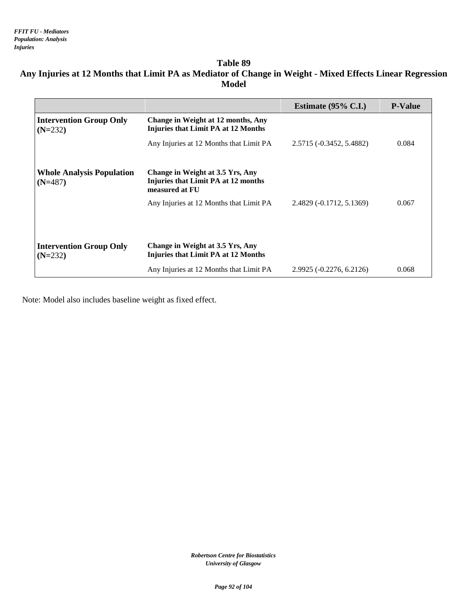### **Table 89 Any Injuries at 12 Months that Limit PA as Mediator of Change in Weight - Mixed Effects Linear Regression Model**

|                                               |                                                                                           | Estimate $(95\% \text{ C.I.})$ | <b>P-Value</b> |
|-----------------------------------------------|-------------------------------------------------------------------------------------------|--------------------------------|----------------|
| <b>Intervention Group Only</b><br>$(N=232)$   | Change in Weight at 12 months, Any<br><b>Injuries that Limit PA at 12 Months</b>          |                                |                |
|                                               | Any Injuries at 12 Months that Limit PA                                                   | 2.5715 (-0.3452, 5.4882)       | 0.084          |
| <b>Whole Analysis Population</b><br>$(N=487)$ | Change in Weight at 3.5 Yrs, Any<br>Injuries that Limit PA at 12 months<br>measured at FU |                                |                |
|                                               | Any Injuries at 12 Months that Limit PA                                                   | 2.4829 (-0.1712, 5.1369)       | 0.067          |
|                                               |                                                                                           |                                |                |
| <b>Intervention Group Only</b><br>$(N=232)$   | Change in Weight at 3.5 Yrs, Any<br>Injuries that Limit PA at 12 Months                   |                                |                |
|                                               | Any Injuries at 12 Months that Limit PA                                                   | 2.9925 (-0.2276, 6.2126)       | 0.068          |

Note: Model also includes baseline weight as fixed effect.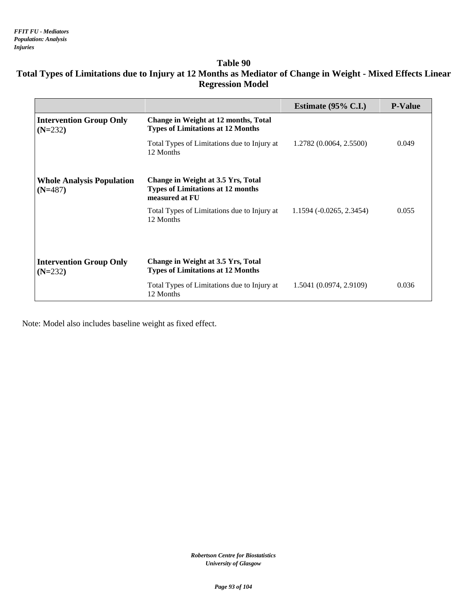# **Total Types of Limitations due to Injury at 12 Months as Mediator of Change in Weight - Mixed Effects Linear Regression Model**

|                                               |                                                                                                                                        | Estimate $(95\% \text{ C.I.})$ | <b>P-Value</b> |
|-----------------------------------------------|----------------------------------------------------------------------------------------------------------------------------------------|--------------------------------|----------------|
| <b>Intervention Group Only</b><br>$(N=232)$   | <b>Change in Weight at 12 months, Total</b><br><b>Types of Limitations at 12 Months</b><br>Total Types of Limitations due to Injury at | 1.2782 (0.0064, 2.5500)        | 0.049          |
|                                               | 12 Months                                                                                                                              |                                |                |
| <b>Whole Analysis Population</b><br>$(N=487)$ | Change in Weight at 3.5 Yrs, Total<br><b>Types of Limitations at 12 months</b><br>measured at FU                                       |                                |                |
|                                               | Total Types of Limitations due to Injury at<br>12 Months                                                                               | $1.1594(-0.0265, 2.3454)$      | 0.055          |
|                                               |                                                                                                                                        |                                |                |
|                                               |                                                                                                                                        |                                |                |
| <b>Intervention Group Only</b><br>$(N=232)$   | Change in Weight at 3.5 Yrs, Total<br><b>Types of Limitations at 12 Months</b>                                                         |                                |                |
|                                               | Total Types of Limitations due to Injury at<br>12 Months                                                                               | 1.5041 (0.0974, 2.9109)        | 0.036          |

Note: Model also includes baseline weight as fixed effect.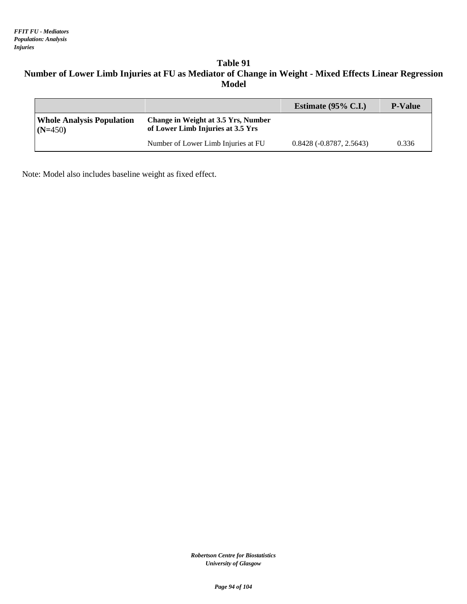# **Table 91 Number of Lower Limb Injuries at FU as Mediator of Change in Weight - Mixed Effects Linear Regression Model**

|                                               |                                                                          | Estimate $(95\% \text{ C.I.})$ | <b>P-Value</b> |
|-----------------------------------------------|--------------------------------------------------------------------------|--------------------------------|----------------|
| <b>Whole Analysis Population</b><br>$(N=450)$ | Change in Weight at 3.5 Yrs, Number<br>of Lower Limb Injuries at 3.5 Yrs |                                |                |
|                                               | Number of Lower Limb Injuries at FU                                      | $0.8428(-0.8787, 2.5643)$      | 0.336          |

Note: Model also includes baseline weight as fixed effect.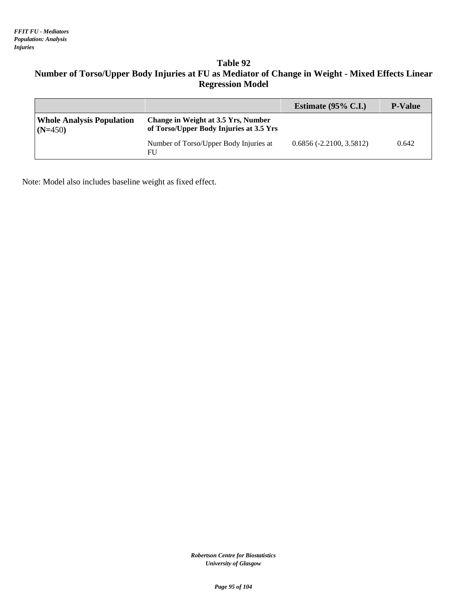# **Table 92 Number of Torso/Upper Body Injuries at FU as Mediator of Change in Weight - Mixed Effects Linear Regression Model**

|                                               |                                                                                | Estimate $(95\% \text{ C.I.})$ | <b>P-Value</b> |
|-----------------------------------------------|--------------------------------------------------------------------------------|--------------------------------|----------------|
| <b>Whole Analysis Population</b><br>$(N=450)$ | Change in Weight at 3.5 Yrs, Number<br>of Torso/Upper Body Injuries at 3.5 Yrs |                                |                |
|                                               | Number of Torso/Upper Body Injuries at<br>FU                                   | $0.6856(-2.2100, 3.5812)$      | 0.642          |

Note: Model also includes baseline weight as fixed effect.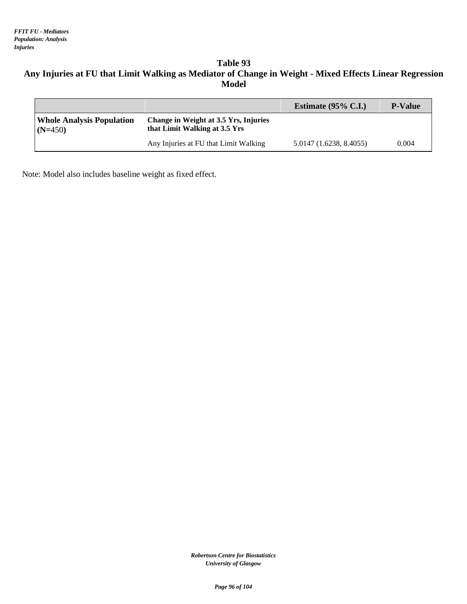# **Table 93 Any Injuries at FU that Limit Walking as Mediator of Change in Weight - Mixed Effects Linear Regression Model**

|                                               |                                                                        | Estimate $(95\% \text{ C.I.})$ | <b>P-Value</b> |
|-----------------------------------------------|------------------------------------------------------------------------|--------------------------------|----------------|
| <b>Whole Analysis Population</b><br>$(N=450)$ | Change in Weight at 3.5 Yrs, Injuries<br>that Limit Walking at 3.5 Yrs |                                |                |
|                                               | Any Injuries at FU that Limit Walking                                  | 5.0147 (1.6238, 8.4055)        | 0.004          |

Note: Model also includes baseline weight as fixed effect.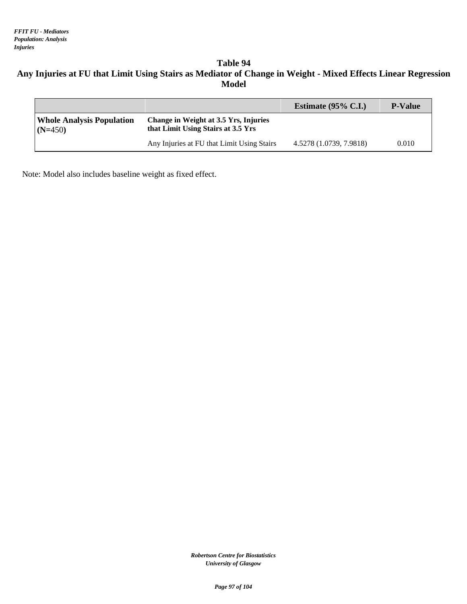# **Table 94 Any Injuries at FU that Limit Using Stairs as Mediator of Change in Weight - Mixed Effects Linear Regression Model**

|                                               |                                                                             | Estimate $(95\% \text{ C.I.})$ | <b>P-Value</b> |
|-----------------------------------------------|-----------------------------------------------------------------------------|--------------------------------|----------------|
| <b>Whole Analysis Population</b><br>$(N=450)$ | Change in Weight at 3.5 Yrs, Injuries<br>that Limit Using Stairs at 3.5 Yrs |                                |                |
|                                               | Any Injuries at FU that Limit Using Stairs                                  | 4.5278 (1.0739, 7.9818)        | 0.010          |

Note: Model also includes baseline weight as fixed effect.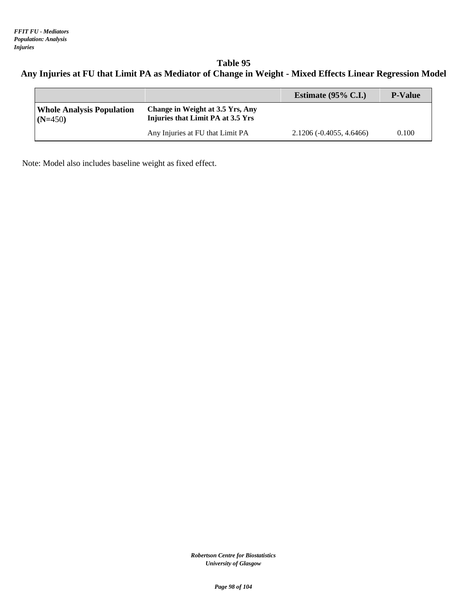**Table 95 Any Injuries at FU that Limit PA as Mediator of Change in Weight - Mixed Effects Linear Regression Model**

|                                               |                                                                       | Estimate $(95\% \text{ C.I.})$ | <b>P-Value</b> |
|-----------------------------------------------|-----------------------------------------------------------------------|--------------------------------|----------------|
| <b>Whole Analysis Population</b><br>$(N=450)$ | Change in Weight at 3.5 Yrs, Any<br>Injuries that Limit PA at 3.5 Yrs |                                |                |
|                                               | Any Injuries at FU that Limit PA                                      | $2.1206(-0.4055, 4.6466)$      | 0.100          |

Note: Model also includes baseline weight as fixed effect.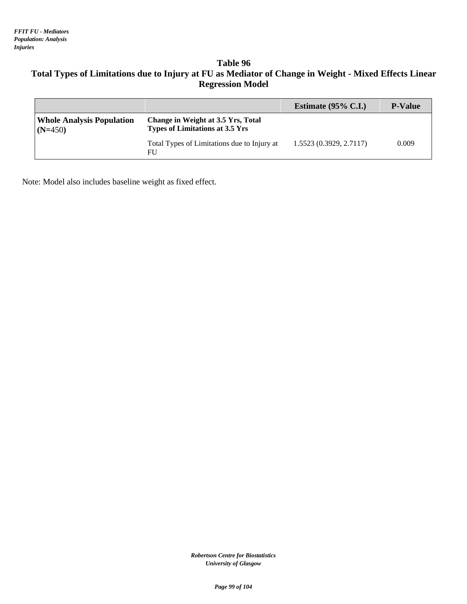# **Table 96 Total Types of Limitations due to Injury at FU as Mediator of Change in Weight - Mixed Effects Linear Regression Model**

|                                               |                                                                              | Estimate $(95\% \text{ C.I.})$ | <b>P-Value</b> |
|-----------------------------------------------|------------------------------------------------------------------------------|--------------------------------|----------------|
| <b>Whole Analysis Population</b><br>$(N=450)$ | Change in Weight at 3.5 Yrs, Total<br><b>Types of Limitations at 3.5 Yrs</b> |                                |                |
|                                               | Total Types of Limitations due to Injury at<br>FU                            | 1.5523(0.3929, 2.7117)         | 0.009          |

Note: Model also includes baseline weight as fixed effect.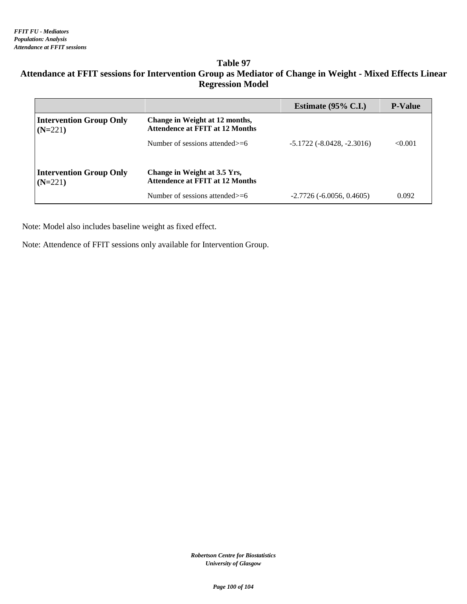# **Attendance at FFIT sessions for Intervention Group as Mediator of Change in Weight - Mixed Effects Linear Regression Model**

|                                             |                                                                          | Estimate $(95\% \text{ C.I.})$      | <b>P-Value</b> |
|---------------------------------------------|--------------------------------------------------------------------------|-------------------------------------|----------------|
| <b>Intervention Group Only</b><br>$(N=221)$ | Change in Weight at 12 months,<br><b>Attendence at FFIT at 12 Months</b> |                                     |                |
|                                             | Number of sessions attended $>=6$                                        | $-5.1722$ ( $-8.0428$ , $-2.3016$ ) | < 0.001        |
|                                             |                                                                          |                                     |                |
| <b>Intervention Group Only</b><br>$(N=221)$ | Change in Weight at 3.5 Yrs,<br><b>Attendence at FFIT at 12 Months</b>   |                                     |                |
|                                             | Number of sessions attended $>=6$                                        | $-2.7726(-6.0056, 0.4605)$          | 0.092          |

Note: Model also includes baseline weight as fixed effect.

Note: Attendence of FFIT sessions only available for Intervention Group.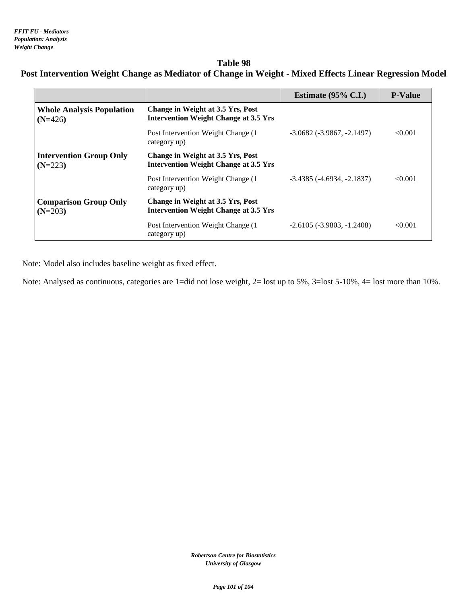# **Table 98 Post Intervention Weight Change as Mediator of Change in Weight - Mixed Effects Linear Regression Model**

|                                               |                                                                                   | Estimate $(95\% \text{ C.I.})$      | <b>P-Value</b> |
|-----------------------------------------------|-----------------------------------------------------------------------------------|-------------------------------------|----------------|
| <b>Whole Analysis Population</b><br>$(N=426)$ | Change in Weight at 3.5 Yrs, Post<br><b>Intervention Weight Change at 3.5 Yrs</b> |                                     |                |
|                                               | Post Intervention Weight Change (1)<br>category up)                               | $-3.0682$ ( $-3.9867$ , $-2.1497$ ) | < 0.001        |
| <b>Intervention Group Only</b><br>$(N=223)$   | Change in Weight at 3.5 Yrs, Post<br><b>Intervention Weight Change at 3.5 Yrs</b> |                                     |                |
|                                               | Post Intervention Weight Change (1)<br>category up)                               | $-3.4385$ ( $-4.6934$ , $-2.1837$ ) | < 0.001        |
| <b>Comparison Group Only</b><br>$(N=203)$     | Change in Weight at 3.5 Yrs, Post<br><b>Intervention Weight Change at 3.5 Yrs</b> |                                     |                |
|                                               | Post Intervention Weight Change (1)<br>category up)                               | $-2.6105(-3.9803,-1.2408)$          | < 0.001        |

Note: Model also includes baseline weight as fixed effect.

Note: Analysed as continuous, categories are 1=did not lose weight, 2= lost up to 5%, 3=lost 5-10%, 4= lost more than 10%.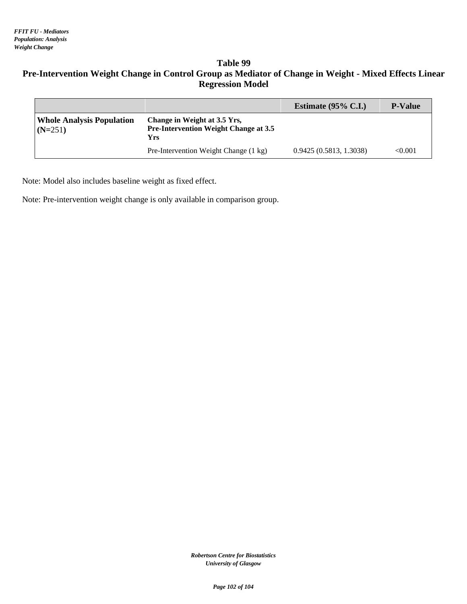# **Table 99 Pre-Intervention Weight Change in Control Group as Mediator of Change in Weight - Mixed Effects Linear Regression Model**

|                                               |                                                                                     | Estimate $(95\% \text{ C.I.})$ | <b>P-Value</b> |
|-----------------------------------------------|-------------------------------------------------------------------------------------|--------------------------------|----------------|
| <b>Whole Analysis Population</b><br>$(N=251)$ | Change in Weight at 3.5 Yrs,<br><b>Pre-Intervention Weight Change at 3.5</b><br>Yrs |                                |                |
|                                               | Pre-Intervention Weight Change (1 kg)                                               | 0.9425(0.5813, 1.3038)         | $<\!\!0.001$   |

Note: Model also includes baseline weight as fixed effect.

Note: Pre-intervention weight change is only available in comparison group.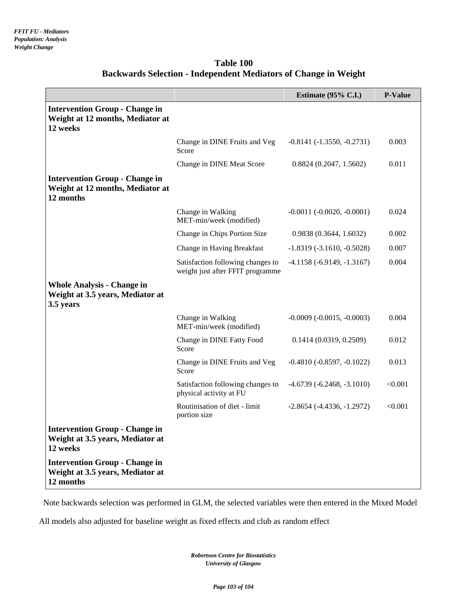|                                                                                        |                                                                       | Estimate $(95\% \text{ C.L.})$      | <b>P-Value</b> |
|----------------------------------------------------------------------------------------|-----------------------------------------------------------------------|-------------------------------------|----------------|
| <b>Intervention Group - Change in</b><br>Weight at 12 months, Mediator at<br>12 weeks  |                                                                       |                                     |                |
|                                                                                        | Change in DINE Fruits and Veg<br>Score                                | $-0.8141(-1.3550, -0.2731)$         | 0.003          |
|                                                                                        | Change in DINE Meat Score                                             | 0.8824(0.2047, 1.5602)              | 0.011          |
| <b>Intervention Group - Change in</b><br>Weight at 12 months, Mediator at<br>12 months |                                                                       |                                     |                |
|                                                                                        | Change in Walking<br>MET-min/week (modified)                          | $-0.0011(-0.0020, -0.0001)$         | 0.024          |
|                                                                                        | Change in Chips Portion Size                                          | 0.9838(0.3644, 1.6032)              | 0.002          |
|                                                                                        | Change in Having Breakfast                                            | $-1.8319(-3.1610,-0.5028)$          | 0.007          |
|                                                                                        | Satisfaction following changes to<br>weight just after FFIT programme | $-4.1158(-6.9149, -1.3167)$         | 0.004          |
| <b>Whole Analysis - Change in</b><br>Weight at 3.5 years, Mediator at<br>3.5 years     |                                                                       |                                     |                |
|                                                                                        | Change in Walking<br>MET-min/week (modified)                          | $-0.0009 (-0.0015, -0.0003)$        | 0.004          |
|                                                                                        | Change in DINE Fatty Food<br>Score                                    | 0.1414(0.0319, 0.2509)              | 0.012          |
|                                                                                        | Change in DINE Fruits and Veg<br>Score                                | $-0.4810(-0.8597, -0.1022)$         | 0.013          |
|                                                                                        | Satisfaction following changes to<br>physical activity at FU          | $-4.6739(-6.2468, -3.1010)$         | < 0.001        |
|                                                                                        | Routinisation of diet - limit<br>portion size                         | $-2.8654$ ( $-4.4336$ , $-1.2972$ ) | < 0.001        |
| <b>Intervention Group - Change in</b><br>Weight at 3.5 years, Mediator at<br>12 weeks  |                                                                       |                                     |                |
| <b>Intervention Group - Change in</b><br>Weight at 3.5 years, Mediator at<br>12 months |                                                                       |                                     |                |

### **Table 100 Backwards Selection - Independent Mediators of Change in Weight**

Note backwards selection was performed in GLM, the selected variables were then entered in the Mixed Model

All models also adjusted for baseline weight as fixed effects and club as random effect